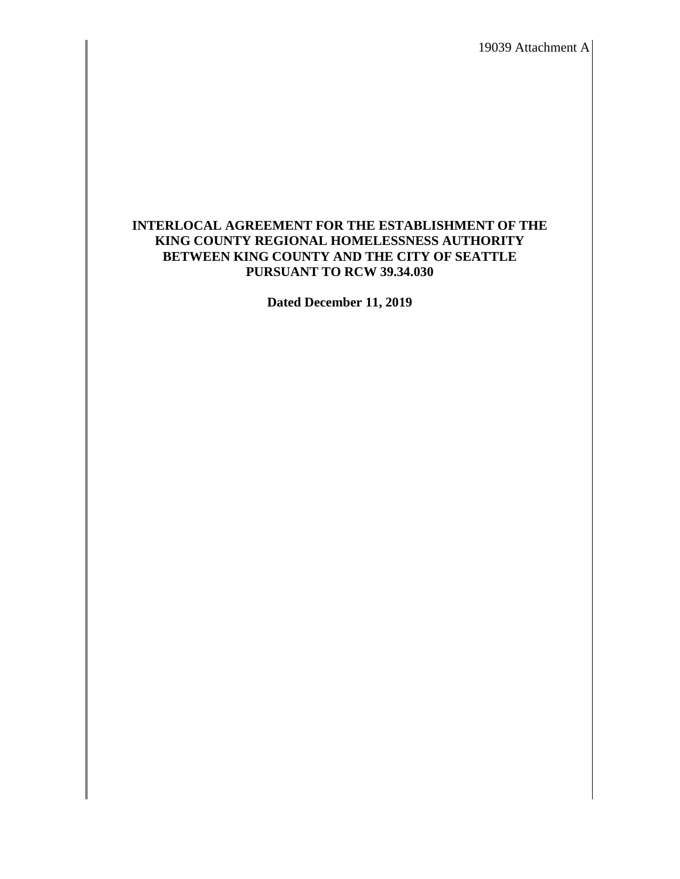19039 Attachment A

### **INTERLOCAL AGREEMENT FOR THE ESTABLISHMENT OF THE KING COUNTY REGIONAL HOMELESSNESS AUTHORITY BETWEEN KING COUNTY AND THE CITY OF SEATTLE PURSUANT TO RCW 39.34.030**

**Dated December 11, 2019**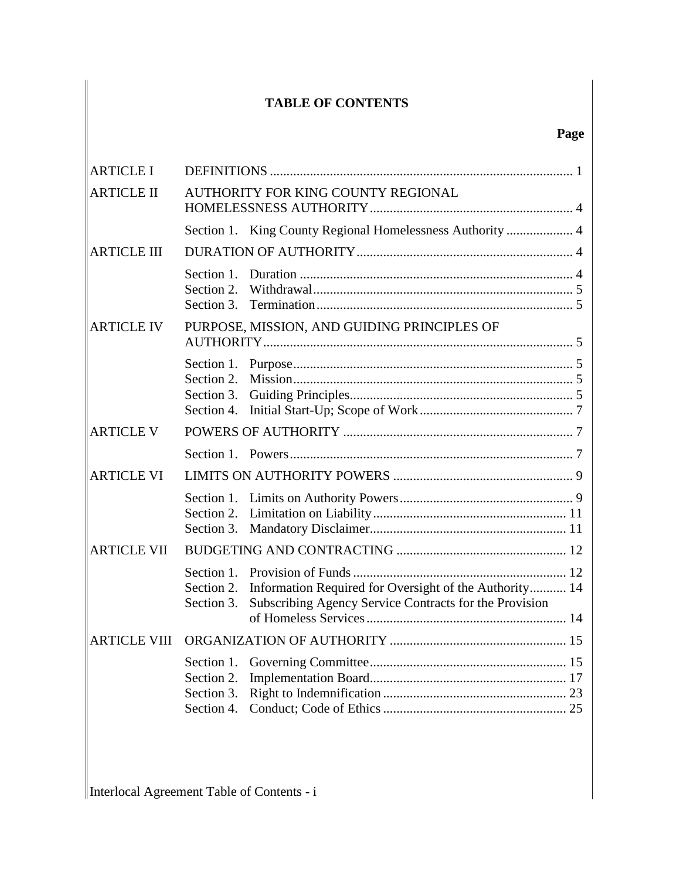# **TABLE OF CONTENTS**

| <b>ARTICLE I</b>    |                                                                                                                                                            |
|---------------------|------------------------------------------------------------------------------------------------------------------------------------------------------------|
| <b>ARTICLE II</b>   | AUTHORITY FOR KING COUNTY REGIONAL                                                                                                                         |
|                     | Section 1. King County Regional Homelessness Authority  4                                                                                                  |
| <b>ARTICLE III</b>  |                                                                                                                                                            |
|                     | Section 1.<br>Section 2.<br>Section 3.                                                                                                                     |
| <b>ARTICLE IV</b>   | PURPOSE, MISSION, AND GUIDING PRINCIPLES OF                                                                                                                |
|                     | Section 1.<br>Section 2.<br>Section 3.<br>Section 4.                                                                                                       |
| <b>ARTICLE V</b>    |                                                                                                                                                            |
|                     |                                                                                                                                                            |
| <b>ARTICLE VI</b>   |                                                                                                                                                            |
|                     | Section 2.<br>Section 3.                                                                                                                                   |
| <b>ARTICLE VII</b>  |                                                                                                                                                            |
|                     | Section 1.<br>Information Required for Oversight of the Authority 14<br>Section 2.<br>Subscribing Agency Service Contracts for the Provision<br>Section 3. |
| <b>ARTICLE VIII</b> |                                                                                                                                                            |
|                     | Section 1.<br>Section 2.<br>Section 3.<br>Section 4.                                                                                                       |

Interlocal Agreement Table of Contents - i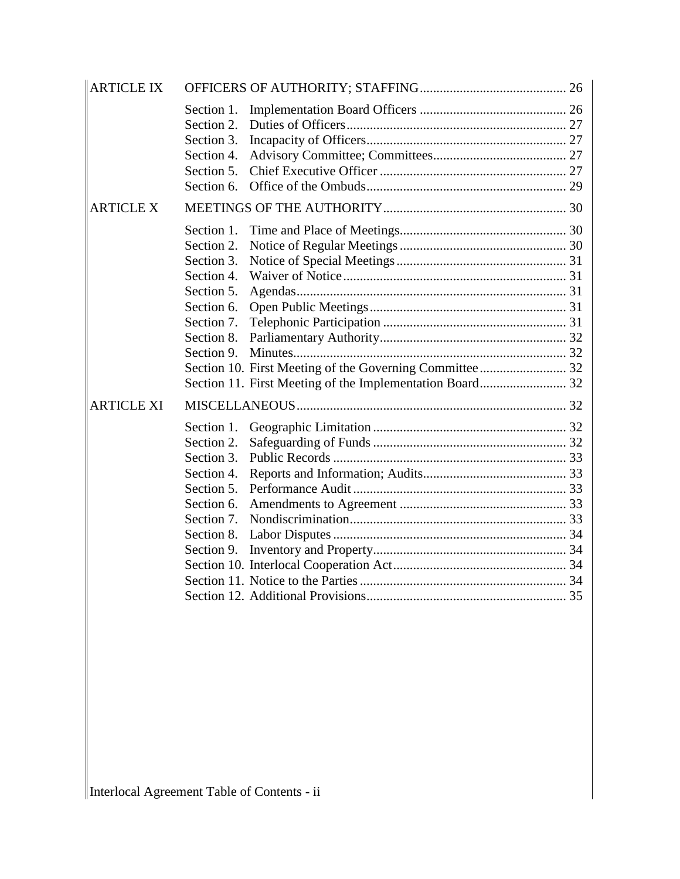| <b>ARTICLE IX</b> |                                                         |  |
|-------------------|---------------------------------------------------------|--|
|                   | Section 1.<br>Section 2.                                |  |
|                   | Section 3.                                              |  |
|                   | Section 4.                                              |  |
|                   | Section 5.                                              |  |
|                   | Section 6.                                              |  |
| <b>ARTICLE X</b>  |                                                         |  |
|                   | Section 1.                                              |  |
|                   | Section 2.                                              |  |
|                   | Section 3.                                              |  |
|                   | Section 4.                                              |  |
|                   | Section 5.                                              |  |
|                   | Section 6.                                              |  |
|                   | Section 7.                                              |  |
|                   | Section 8.                                              |  |
|                   | Section 9.                                              |  |
|                   | Section 10. First Meeting of the Governing Committee 32 |  |
|                   |                                                         |  |
| <b>ARTICLE XI</b> |                                                         |  |
|                   | Section 1.                                              |  |
|                   | Section 2.                                              |  |
|                   | Section 3.                                              |  |
|                   | Section 4.                                              |  |
|                   | Section 5.                                              |  |
|                   | Section 6.                                              |  |
|                   | Section 7.                                              |  |
|                   | Section 8.                                              |  |
|                   | Section 9.                                              |  |
|                   |                                                         |  |
|                   |                                                         |  |
|                   |                                                         |  |
|                   |                                                         |  |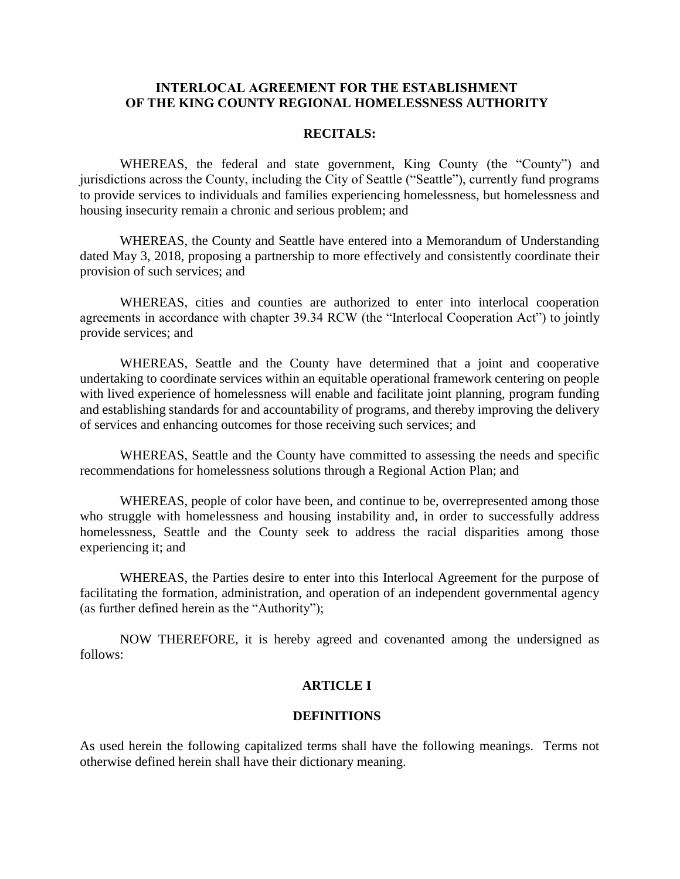### **INTERLOCAL AGREEMENT FOR THE ESTABLISHMENT OF THE KING COUNTY REGIONAL HOMELESSNESS AUTHORITY**

#### **RECITALS:**

WHEREAS, the federal and state government, King County (the "County") and jurisdictions across the County, including the City of Seattle ("Seattle"), currently fund programs to provide services to individuals and families experiencing homelessness, but homelessness and housing insecurity remain a chronic and serious problem; and

WHEREAS, the County and Seattle have entered into a Memorandum of Understanding dated May 3, 2018, proposing a partnership to more effectively and consistently coordinate their provision of such services; and

WHEREAS, cities and counties are authorized to enter into interlocal cooperation agreements in accordance with chapter 39.34 RCW (the "Interlocal Cooperation Act") to jointly provide services; and

WHEREAS, Seattle and the County have determined that a joint and cooperative undertaking to coordinate services within an equitable operational framework centering on people with lived experience of homelessness will enable and facilitate joint planning, program funding and establishing standards for and accountability of programs, and thereby improving the delivery of services and enhancing outcomes for those receiving such services; and

WHEREAS, Seattle and the County have committed to assessing the needs and specific recommendations for homelessness solutions through a Regional Action Plan; and

WHEREAS, people of color have been, and continue to be, overrepresented among those who struggle with homelessness and housing instability and, in order to successfully address homelessness, Seattle and the County seek to address the racial disparities among those experiencing it; and

WHEREAS, the Parties desire to enter into this Interlocal Agreement for the purpose of facilitating the formation, administration, and operation of an independent governmental agency (as further defined herein as the "Authority");

NOW THEREFORE, it is hereby agreed and covenanted among the undersigned as follows:

### **ARTICLE I**

#### **DEFINITIONS**

As used herein the following capitalized terms shall have the following meanings. Terms not otherwise defined herein shall have their dictionary meaning.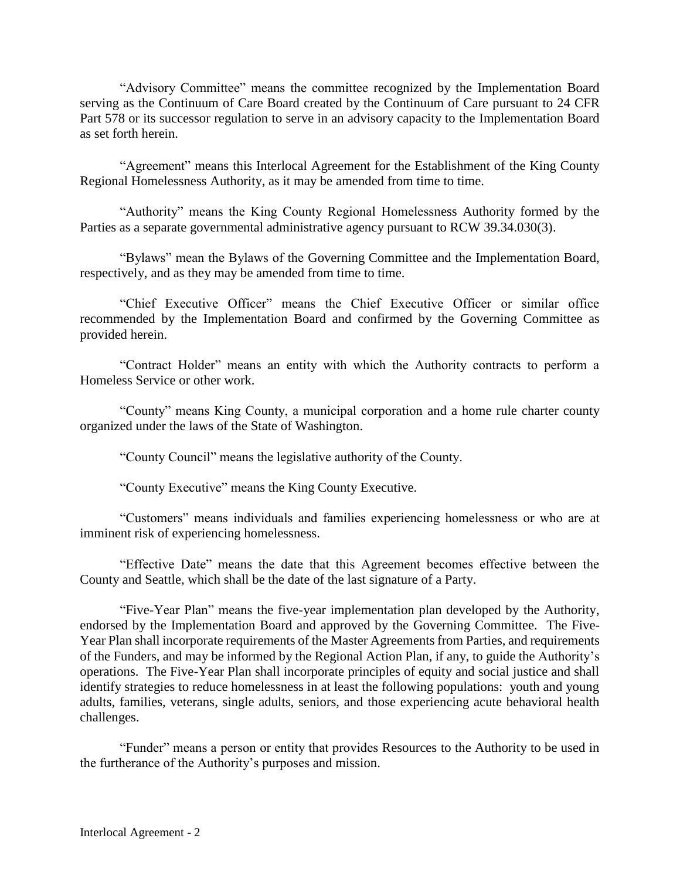"Advisory Committee" means the committee recognized by the Implementation Board serving as the Continuum of Care Board created by the Continuum of Care pursuant to 24 CFR Part 578 or its successor regulation to serve in an advisory capacity to the Implementation Board as set forth herein.

"Agreement" means this Interlocal Agreement for the Establishment of the King County Regional Homelessness Authority, as it may be amended from time to time.

"Authority" means the King County Regional Homelessness Authority formed by the Parties as a separate governmental administrative agency pursuant to RCW 39.34.030(3).

"Bylaws" mean the Bylaws of the Governing Committee and the Implementation Board, respectively, and as they may be amended from time to time.

"Chief Executive Officer" means the Chief Executive Officer or similar office recommended by the Implementation Board and confirmed by the Governing Committee as provided herein.

"Contract Holder" means an entity with which the Authority contracts to perform a Homeless Service or other work.

"County" means King County, a municipal corporation and a home rule charter county organized under the laws of the State of Washington.

"County Council" means the legislative authority of the County.

"County Executive" means the King County Executive.

"Customers" means individuals and families experiencing homelessness or who are at imminent risk of experiencing homelessness.

"Effective Date" means the date that this Agreement becomes effective between the County and Seattle, which shall be the date of the last signature of a Party.

"Five-Year Plan" means the five-year implementation plan developed by the Authority, endorsed by the Implementation Board and approved by the Governing Committee. The Five-Year Plan shall incorporate requirements of the Master Agreements from Parties, and requirements of the Funders, and may be informed by the Regional Action Plan, if any, to guide the Authority's operations. The Five-Year Plan shall incorporate principles of equity and social justice and shall identify strategies to reduce homelessness in at least the following populations: youth and young adults, families, veterans, single adults, seniors, and those experiencing acute behavioral health challenges.

"Funder" means a person or entity that provides Resources to the Authority to be used in the furtherance of the Authority's purposes and mission.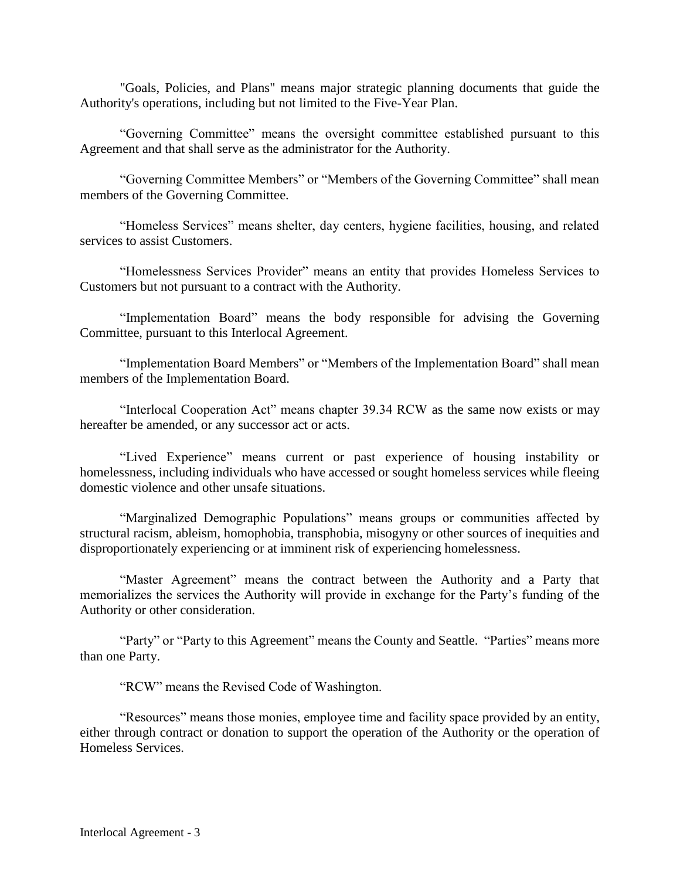"Goals, Policies, and Plans" means major strategic planning documents that guide the Authority's operations, including but not limited to the Five-Year Plan.

"Governing Committee" means the oversight committee established pursuant to this Agreement and that shall serve as the administrator for the Authority.

"Governing Committee Members" or "Members of the Governing Committee" shall mean members of the Governing Committee.

"Homeless Services" means shelter, day centers, hygiene facilities, housing, and related services to assist Customers.

"Homelessness Services Provider" means an entity that provides Homeless Services to Customers but not pursuant to a contract with the Authority.

"Implementation Board" means the body responsible for advising the Governing Committee, pursuant to this Interlocal Agreement.

"Implementation Board Members" or "Members of the Implementation Board" shall mean members of the Implementation Board.

"Interlocal Cooperation Act" means chapter 39.34 RCW as the same now exists or may hereafter be amended, or any successor act or acts.

"Lived Experience" means current or past experience of housing instability or homelessness, including individuals who have accessed or sought homeless services while fleeing domestic violence and other unsafe situations.

"Marginalized Demographic Populations" means groups or communities affected by structural racism, ableism, homophobia, transphobia, misogyny or other sources of inequities and disproportionately experiencing or at imminent risk of experiencing homelessness.

"Master Agreement" means the contract between the Authority and a Party that memorializes the services the Authority will provide in exchange for the Party's funding of the Authority or other consideration.

"Party" or "Party to this Agreement" means the County and Seattle. "Parties" means more than one Party.

"RCW" means the Revised Code of Washington.

"Resources" means those monies, employee time and facility space provided by an entity, either through contract or donation to support the operation of the Authority or the operation of Homeless Services.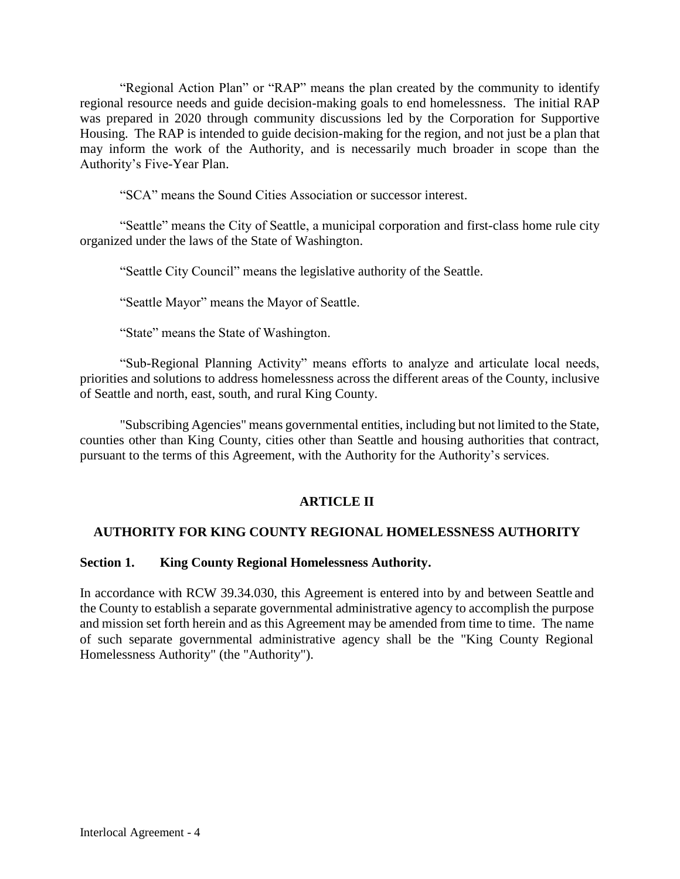"Regional Action Plan" or "RAP" means the plan created by the community to identify regional resource needs and guide decision-making goals to end homelessness. The initial RAP was prepared in 2020 through community discussions led by the Corporation for Supportive Housing. The RAP is intended to guide decision-making for the region, and not just be a plan that may inform the work of the Authority, and is necessarily much broader in scope than the Authority's Five-Year Plan.

"SCA" means the Sound Cities Association or successor interest.

"Seattle" means the City of Seattle, a municipal corporation and first-class home rule city organized under the laws of the State of Washington.

"Seattle City Council" means the legislative authority of the Seattle.

"Seattle Mayor" means the Mayor of Seattle.

"State" means the State of Washington.

"Sub-Regional Planning Activity" means efforts to analyze and articulate local needs, priorities and solutions to address homelessness across the different areas of the County, inclusive of Seattle and north, east, south, and rural King County.

"Subscribing Agencies" means governmental entities, including but not limited to the State, counties other than King County, cities other than Seattle and housing authorities that contract, pursuant to the terms of this Agreement, with the Authority for the Authority's services.

# **ARTICLE II**

# **AUTHORITY FOR KING COUNTY REGIONAL HOMELESSNESS AUTHORITY**

#### **Section 1. King County Regional Homelessness Authority.**

In accordance with RCW 39.34.030, this Agreement is entered into by and between Seattle and the County to establish a separate governmental administrative agency to accomplish the purpose and mission set forth herein and as this Agreement may be amended from time to time. The name of such separate governmental administrative agency shall be the "King County Regional Homelessness Authority" (the "Authority").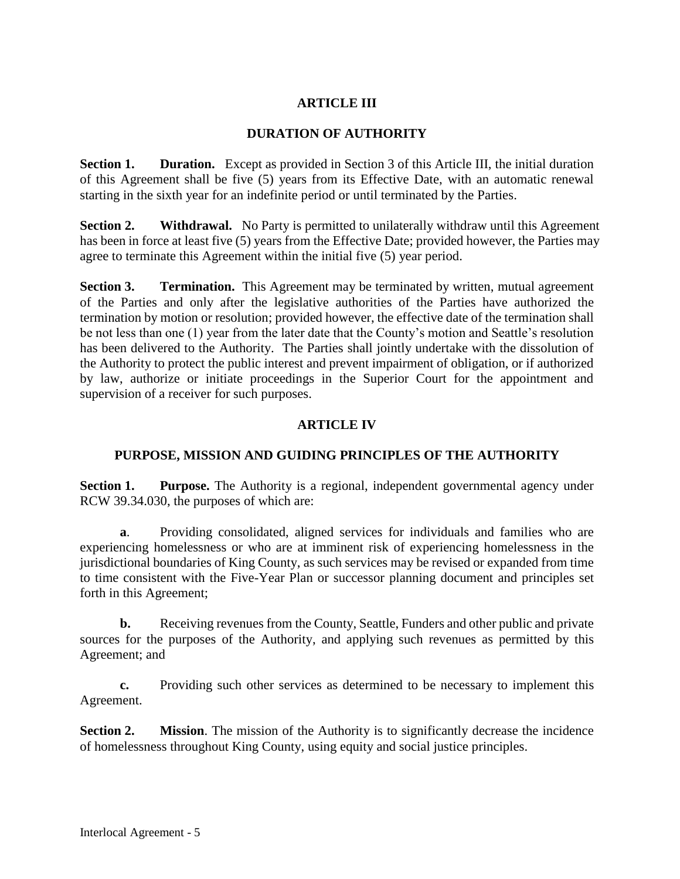# **ARTICLE III**

### **DURATION OF AUTHORITY**

**Section 1. Duration.** Except as provided in Section 3 of this Article III, the initial duration of this Agreement shall be five (5) years from its Effective Date, with an automatic renewal starting in the sixth year for an indefinite period or until terminated by the Parties.

**Section 2. Withdrawal.** No Party is permitted to unilaterally withdraw until this Agreement has been in force at least five (5) years from the Effective Date; provided however, the Parties may agree to terminate this Agreement within the initial five (5) year period.

**Section 3. Termination.** This Agreement may be terminated by written, mutual agreement of the Parties and only after the legislative authorities of the Parties have authorized the termination by motion or resolution; provided however, the effective date of the termination shall be not less than one (1) year from the later date that the County's motion and Seattle's resolution has been delivered to the Authority. The Parties shall jointly undertake with the dissolution of the Authority to protect the public interest and prevent impairment of obligation, or if authorized by law, authorize or initiate proceedings in the Superior Court for the appointment and supervision of a receiver for such purposes.

# **ARTICLE IV**

# **PURPOSE, MISSION AND GUIDING PRINCIPLES OF THE AUTHORITY**

**Section 1.** Purpose. The Authority is a regional, independent governmental agency under RCW 39.34.030, the purposes of which are:

**a**. Providing consolidated, aligned services for individuals and families who are experiencing homelessness or who are at imminent risk of experiencing homelessness in the jurisdictional boundaries of King County, as such services may be revised or expanded from time to time consistent with the Five-Year Plan or successor planning document and principles set forth in this Agreement;

**b.** Receiving revenues from the County, Seattle, Funders and other public and private sources for the purposes of the Authority, and applying such revenues as permitted by this Agreement; and

**c.** Providing such other services as determined to be necessary to implement this Agreement.

**Section 2.** Mission. The mission of the Authority is to significantly decrease the incidence of homelessness throughout King County, using equity and social justice principles.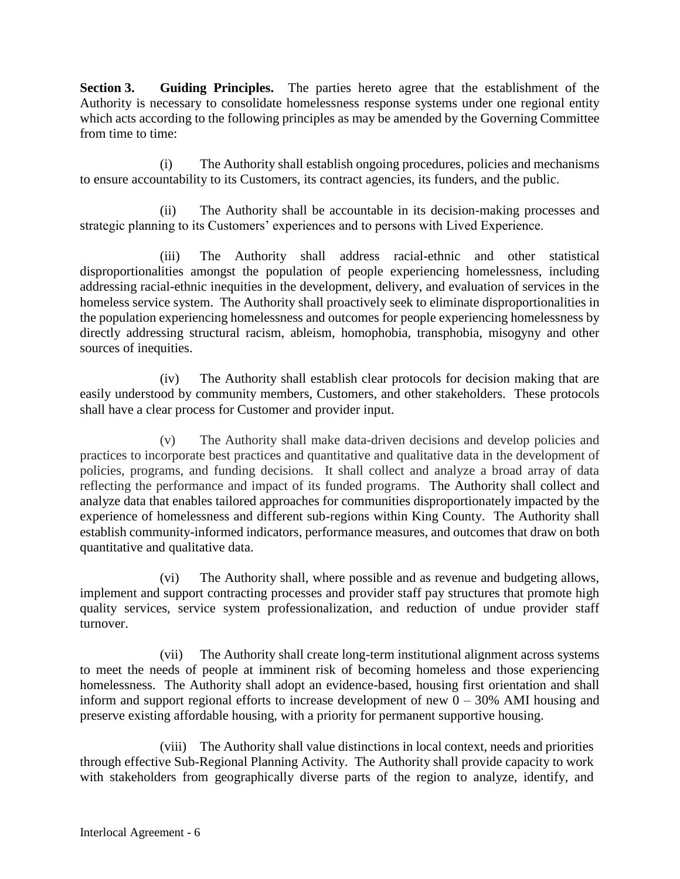**Section 3. Guiding Principles.** The parties hereto agree that the establishment of the Authority is necessary to consolidate homelessness response systems under one regional entity which acts according to the following principles as may be amended by the Governing Committee from time to time:

(i) The Authority shall establish ongoing procedures, policies and mechanisms to ensure accountability to its Customers, its contract agencies, its funders, and the public.

(ii) The Authority shall be accountable in its decision-making processes and strategic planning to its Customers' experiences and to persons with Lived Experience.

(iii) The Authority shall address racial-ethnic and other statistical disproportionalities amongst the population of people experiencing homelessness, including addressing racial-ethnic inequities in the development, delivery, and evaluation of services in the homeless service system. The Authority shall proactively seek to eliminate disproportionalities in the population experiencing homelessness and outcomes for people experiencing homelessness by directly addressing structural racism, ableism, homophobia, transphobia, misogyny and other sources of inequities.

(iv) The Authority shall establish clear protocols for decision making that are easily understood by community members, Customers, and other stakeholders. These protocols shall have a clear process for Customer and provider input.

(v) The Authority shall make data-driven decisions and develop policies and practices to incorporate best practices and quantitative and qualitative data in the development of policies, programs, and funding decisions. It shall collect and analyze a broad array of data reflecting the performance and impact of its funded programs. The Authority shall collect and analyze data that enables tailored approaches for communities disproportionately impacted by the experience of homelessness and different sub-regions within King County. The Authority shall establish community-informed indicators, performance measures, and outcomes that draw on both quantitative and qualitative data.

(vi) The Authority shall, where possible and as revenue and budgeting allows, implement and support contracting processes and provider staff pay structures that promote high quality services, service system professionalization, and reduction of undue provider staff turnover.

(vii) The Authority shall create long-term institutional alignment across systems to meet the needs of people at imminent risk of becoming homeless and those experiencing homelessness. The Authority shall adopt an evidence-based, housing first orientation and shall inform and support regional efforts to increase development of new  $0 - 30\%$  AMI housing and preserve existing affordable housing, with a priority for permanent supportive housing.

(viii) The Authority shall value distinctions in local context, needs and priorities through effective Sub-Regional Planning Activity. The Authority shall provide capacity to work with stakeholders from geographically diverse parts of the region to analyze, identify, and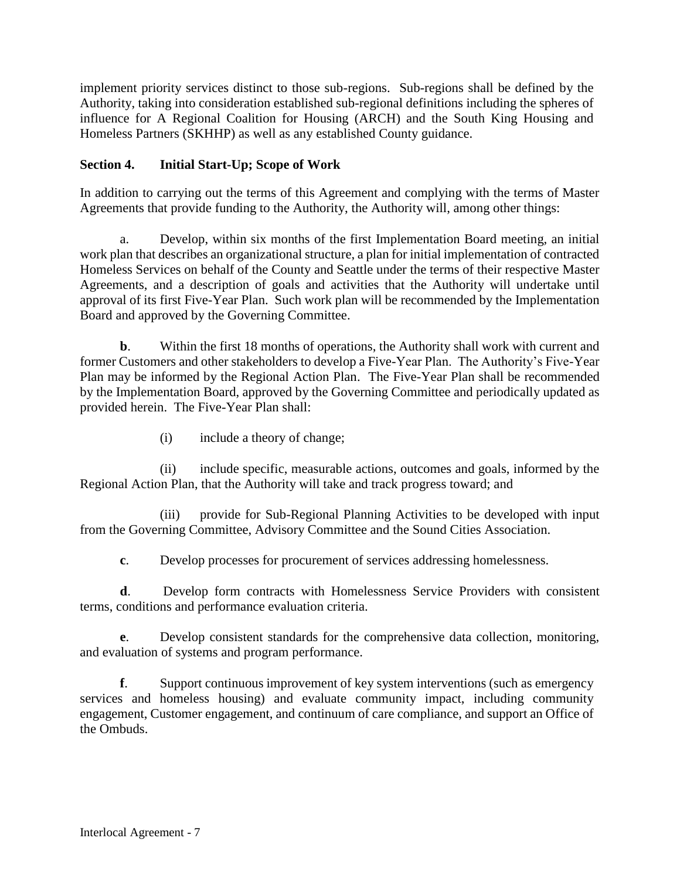implement priority services distinct to those sub-regions. Sub-regions shall be defined by the Authority, taking into consideration established sub-regional definitions including the spheres of influence for A Regional Coalition for Housing (ARCH) and the South King Housing and Homeless Partners (SKHHP) as well as any established County guidance.

# **Section 4. Initial Start-Up; Scope of Work**

In addition to carrying out the terms of this Agreement and complying with the terms of Master Agreements that provide funding to the Authority, the Authority will, among other things:

a. Develop, within six months of the first Implementation Board meeting, an initial work plan that describes an organizational structure, a plan for initial implementation of contracted Homeless Services on behalf of the County and Seattle under the terms of their respective Master Agreements, and a description of goals and activities that the Authority will undertake until approval of its first Five-Year Plan. Such work plan will be recommended by the Implementation Board and approved by the Governing Committee.

**b.** Within the first 18 months of operations, the Authority shall work with current and former Customers and other stakeholders to develop a Five-Year Plan. The Authority's Five-Year Plan may be informed by the Regional Action Plan. The Five-Year Plan shall be recommended by the Implementation Board, approved by the Governing Committee and periodically updated as provided herein. The Five-Year Plan shall:

(i) include a theory of change;

(ii) include specific, measurable actions, outcomes and goals, informed by the Regional Action Plan, that the Authority will take and track progress toward; and

(iii) provide for Sub-Regional Planning Activities to be developed with input from the Governing Committee, Advisory Committee and the Sound Cities Association.

**c**. Develop processes for procurement of services addressing homelessness.

**d**. Develop form contracts with Homelessness Service Providers with consistent terms, conditions and performance evaluation criteria.

**e**. Develop consistent standards for the comprehensive data collection, monitoring, and evaluation of systems and program performance.

**f**. Support continuous improvement of key system interventions (such as emergency services and homeless housing) and evaluate community impact, including community engagement, Customer engagement, and continuum of care compliance, and support an Office of the Ombuds.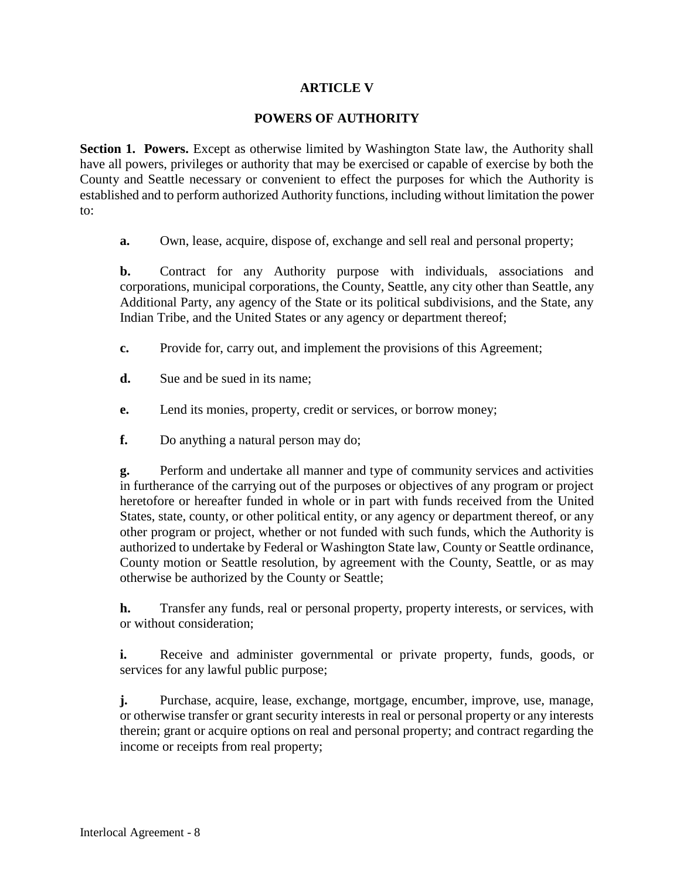# **ARTICLE V**

### **POWERS OF AUTHORITY**

**Section 1. Powers.** Except as otherwise limited by Washington State law, the Authority shall have all powers, privileges or authority that may be exercised or capable of exercise by both the County and Seattle necessary or convenient to effect the purposes for which the Authority is established and to perform authorized Authority functions, including without limitation the power to:

**a.** Own, lease, acquire, dispose of, exchange and sell real and personal property;

**b.** Contract for any Authority purpose with individuals, associations and corporations, municipal corporations, the County, Seattle, any city other than Seattle, any Additional Party, any agency of the State or its political subdivisions, and the State, any Indian Tribe, and the United States or any agency or department thereof;

- **c.** Provide for, carry out, and implement the provisions of this Agreement;
- **d.** Sue and be sued in its name;
- **e.** Lend its monies, property, credit or services, or borrow money;
- **f.** Do anything a natural person may do;

**g.** Perform and undertake all manner and type of community services and activities in furtherance of the carrying out of the purposes or objectives of any program or project heretofore or hereafter funded in whole or in part with funds received from the United States, state, county, or other political entity, or any agency or department thereof, or any other program or project, whether or not funded with such funds, which the Authority is authorized to undertake by Federal or Washington State law, County or Seattle ordinance, County motion or Seattle resolution, by agreement with the County, Seattle, or as may otherwise be authorized by the County or Seattle;

**h.** Transfer any funds, real or personal property, property interests, or services, with or without consideration;

**i.** Receive and administer governmental or private property, funds, goods, or services for any lawful public purpose;

**j.** Purchase, acquire, lease, exchange, mortgage, encumber, improve, use, manage, or otherwise transfer or grant security interests in real or personal property or any interests therein; grant or acquire options on real and personal property; and contract regarding the income or receipts from real property;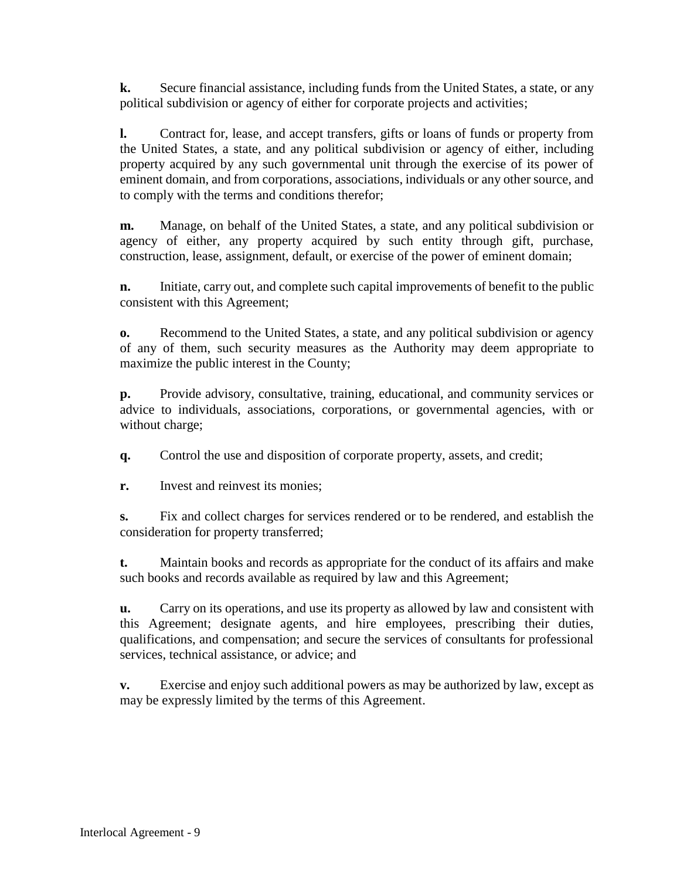**k.** Secure financial assistance, including funds from the United States, a state, or any political subdivision or agency of either for corporate projects and activities;

**l.** Contract for, lease, and accept transfers, gifts or loans of funds or property from the United States, a state, and any political subdivision or agency of either, including property acquired by any such governmental unit through the exercise of its power of eminent domain, and from corporations, associations, individuals or any other source, and to comply with the terms and conditions therefor;

**m.** Manage, on behalf of the United States, a state, and any political subdivision or agency of either, any property acquired by such entity through gift, purchase, construction, lease, assignment, default, or exercise of the power of eminent domain;

**n.** Initiate, carry out, and complete such capital improvements of benefit to the public consistent with this Agreement;

**o.** Recommend to the United States, a state, and any political subdivision or agency of any of them, such security measures as the Authority may deem appropriate to maximize the public interest in the County;

**p.** Provide advisory, consultative, training, educational, and community services or advice to individuals, associations, corporations, or governmental agencies, with or without charge;

**q.** Control the use and disposition of corporate property, assets, and credit;

**r.** Invest and reinvest its monies:

**s.** Fix and collect charges for services rendered or to be rendered, and establish the consideration for property transferred;

**t.** Maintain books and records as appropriate for the conduct of its affairs and make such books and records available as required by law and this Agreement;

**u.** Carry on its operations, and use its property as allowed by law and consistent with this Agreement; designate agents, and hire employees, prescribing their duties, qualifications, and compensation; and secure the services of consultants for professional services, technical assistance, or advice; and

**v.** Exercise and enjoy such additional powers as may be authorized by law, except as may be expressly limited by the terms of this Agreement.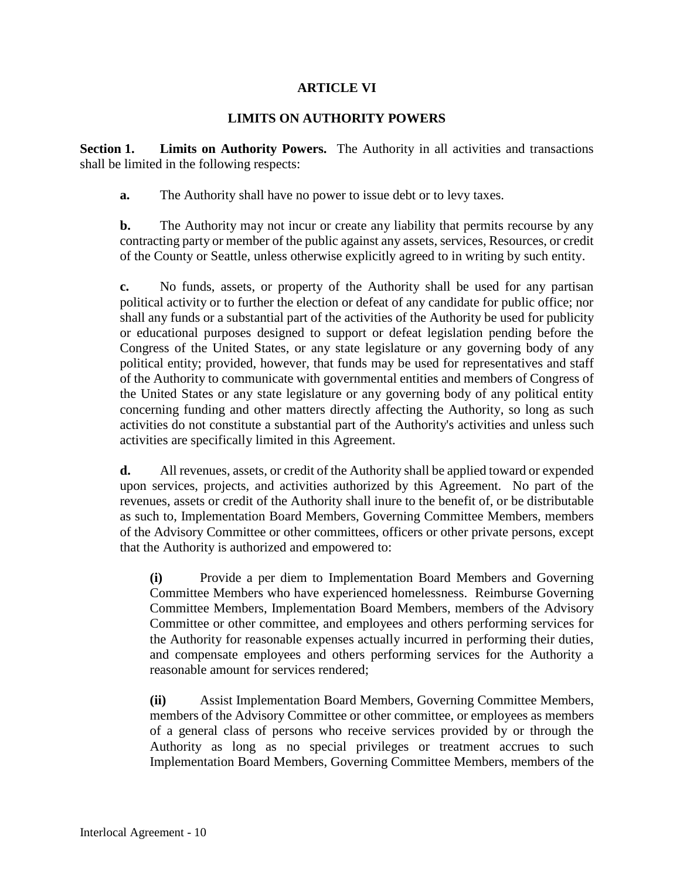### **ARTICLE VI**

### **LIMITS ON AUTHORITY POWERS**

**Section 1.** Limits on Authority Powers. The Authority in all activities and transactions shall be limited in the following respects:

**a.** The Authority shall have no power to issue debt or to levy taxes.

**b.** The Authority may not incur or create any liability that permits recourse by any contracting party or member of the public against any assets, services, Resources, or credit of the County or Seattle, unless otherwise explicitly agreed to in writing by such entity.

**c.** No funds, assets, or property of the Authority shall be used for any partisan political activity or to further the election or defeat of any candidate for public office; nor shall any funds or a substantial part of the activities of the Authority be used for publicity or educational purposes designed to support or defeat legislation pending before the Congress of the United States, or any state legislature or any governing body of any political entity; provided, however, that funds may be used for representatives and staff of the Authority to communicate with governmental entities and members of Congress of the United States or any state legislature or any governing body of any political entity concerning funding and other matters directly affecting the Authority, so long as such activities do not constitute a substantial part of the Authority's activities and unless such activities are specifically limited in this Agreement.

**d.** All revenues, assets, or credit of the Authority shall be applied toward or expended upon services, projects, and activities authorized by this Agreement. No part of the revenues, assets or credit of the Authority shall inure to the benefit of, or be distributable as such to, Implementation Board Members, Governing Committee Members, members of the Advisory Committee or other committees, officers or other private persons, except that the Authority is authorized and empowered to:

**(i)** Provide a per diem to Implementation Board Members and Governing Committee Members who have experienced homelessness. Reimburse Governing Committee Members, Implementation Board Members, members of the Advisory Committee or other committee, and employees and others performing services for the Authority for reasonable expenses actually incurred in performing their duties, and compensate employees and others performing services for the Authority a reasonable amount for services rendered;

**(ii)** Assist Implementation Board Members, Governing Committee Members, members of the Advisory Committee or other committee, or employees as members of a general class of persons who receive services provided by or through the Authority as long as no special privileges or treatment accrues to such Implementation Board Members, Governing Committee Members, members of the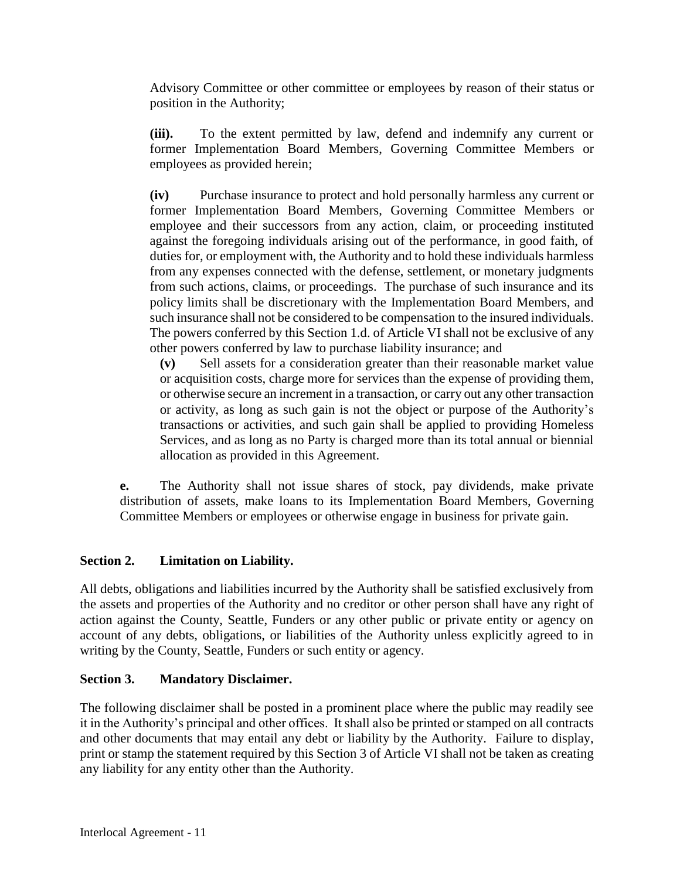Advisory Committee or other committee or employees by reason of their status or position in the Authority;

**(iii).** To the extent permitted by law, defend and indemnify any current or former Implementation Board Members, Governing Committee Members or employees as provided herein;

**(iv)** Purchase insurance to protect and hold personally harmless any current or former Implementation Board Members, Governing Committee Members or employee and their successors from any action, claim, or proceeding instituted against the foregoing individuals arising out of the performance, in good faith, of duties for, or employment with, the Authority and to hold these individuals harmless from any expenses connected with the defense, settlement, or monetary judgments from such actions, claims, or proceedings. The purchase of such insurance and its policy limits shall be discretionary with the Implementation Board Members, and such insurance shall not be considered to be compensation to the insured individuals. The powers conferred by this Section 1.d. of Article VI shall not be exclusive of any other powers conferred by law to purchase liability insurance; and

**(v)** Sell assets for a consideration greater than their reasonable market value or acquisition costs, charge more for services than the expense of providing them, or otherwise secure an increment in a transaction, or carry out any other transaction or activity, as long as such gain is not the object or purpose of the Authority's transactions or activities, and such gain shall be applied to providing Homeless Services, and as long as no Party is charged more than its total annual or biennial allocation as provided in this Agreement.

**e.** The Authority shall not issue shares of stock, pay dividends, make private distribution of assets, make loans to its Implementation Board Members, Governing Committee Members or employees or otherwise engage in business for private gain.

# **Section 2. Limitation on Liability.**

All debts, obligations and liabilities incurred by the Authority shall be satisfied exclusively from the assets and properties of the Authority and no creditor or other person shall have any right of action against the County, Seattle, Funders or any other public or private entity or agency on account of any debts, obligations, or liabilities of the Authority unless explicitly agreed to in writing by the County, Seattle, Funders or such entity or agency.

# **Section 3. Mandatory Disclaimer.**

The following disclaimer shall be posted in a prominent place where the public may readily see it in the Authority's principal and other offices. It shall also be printed or stamped on all contracts and other documents that may entail any debt or liability by the Authority. Failure to display, print or stamp the statement required by this Section 3 of Article VI shall not be taken as creating any liability for any entity other than the Authority.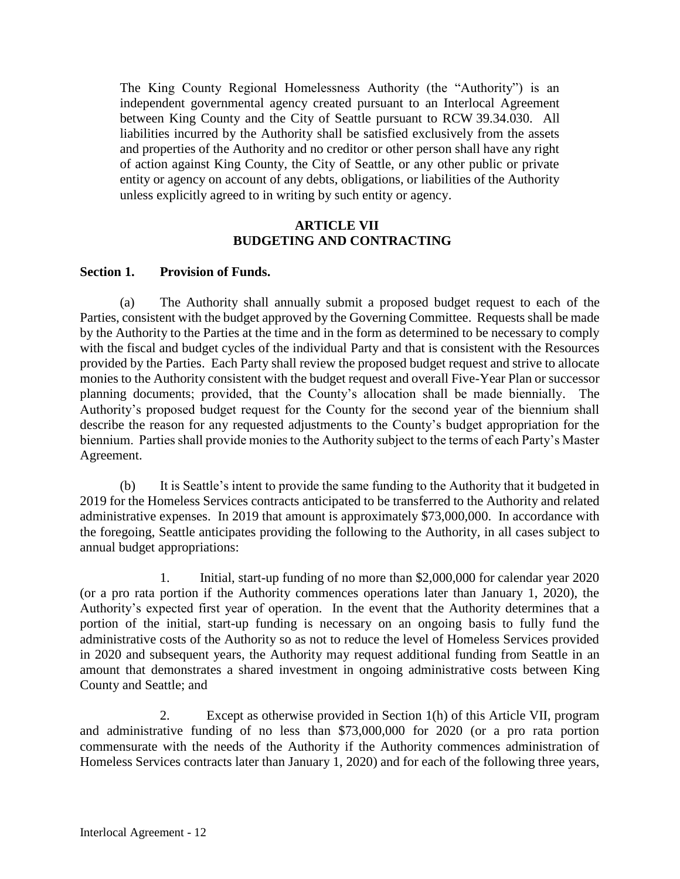The King County Regional Homelessness Authority (the "Authority") is an independent governmental agency created pursuant to an Interlocal Agreement between King County and the City of Seattle pursuant to RCW 39.34.030. All liabilities incurred by the Authority shall be satisfied exclusively from the assets and properties of the Authority and no creditor or other person shall have any right of action against King County, the City of Seattle, or any other public or private entity or agency on account of any debts, obligations, or liabilities of the Authority unless explicitly agreed to in writing by such entity or agency.

### **ARTICLE VII BUDGETING AND CONTRACTING**

#### **Section 1. Provision of Funds.**

(a) The Authority shall annually submit a proposed budget request to each of the Parties, consistent with the budget approved by the Governing Committee. Requests shall be made by the Authority to the Parties at the time and in the form as determined to be necessary to comply with the fiscal and budget cycles of the individual Party and that is consistent with the Resources provided by the Parties. Each Party shall review the proposed budget request and strive to allocate monies to the Authority consistent with the budget request and overall Five-Year Plan or successor planning documents; provided, that the County's allocation shall be made biennially. The Authority's proposed budget request for the County for the second year of the biennium shall describe the reason for any requested adjustments to the County's budget appropriation for the biennium. Parties shall provide monies to the Authority subject to the terms of each Party's Master Agreement.

(b) It is Seattle's intent to provide the same funding to the Authority that it budgeted in 2019 for the Homeless Services contracts anticipated to be transferred to the Authority and related administrative expenses. In 2019 that amount is approximately \$73,000,000. In accordance with the foregoing, Seattle anticipates providing the following to the Authority, in all cases subject to annual budget appropriations:

1. Initial, start-up funding of no more than \$2,000,000 for calendar year 2020 (or a pro rata portion if the Authority commences operations later than January 1, 2020), the Authority's expected first year of operation. In the event that the Authority determines that a portion of the initial, start-up funding is necessary on an ongoing basis to fully fund the administrative costs of the Authority so as not to reduce the level of Homeless Services provided in 2020 and subsequent years, the Authority may request additional funding from Seattle in an amount that demonstrates a shared investment in ongoing administrative costs between King County and Seattle; and

2. Except as otherwise provided in Section 1(h) of this Article VII, program and administrative funding of no less than \$73,000,000 for 2020 (or a pro rata portion commensurate with the needs of the Authority if the Authority commences administration of Homeless Services contracts later than January 1, 2020) and for each of the following three years,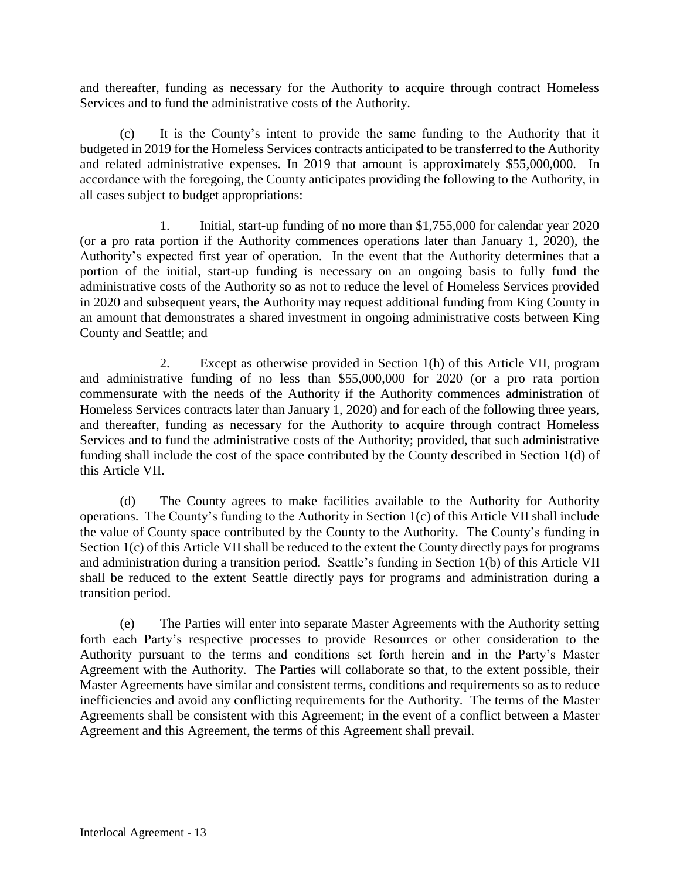and thereafter, funding as necessary for the Authority to acquire through contract Homeless Services and to fund the administrative costs of the Authority.

(c) It is the County's intent to provide the same funding to the Authority that it budgeted in 2019 for the Homeless Services contracts anticipated to be transferred to the Authority and related administrative expenses. In 2019 that amount is approximately \$55,000,000. In accordance with the foregoing, the County anticipates providing the following to the Authority, in all cases subject to budget appropriations:

1. Initial, start-up funding of no more than \$1,755,000 for calendar year 2020 (or a pro rata portion if the Authority commences operations later than January 1, 2020), the Authority's expected first year of operation. In the event that the Authority determines that a portion of the initial, start-up funding is necessary on an ongoing basis to fully fund the administrative costs of the Authority so as not to reduce the level of Homeless Services provided in 2020 and subsequent years, the Authority may request additional funding from King County in an amount that demonstrates a shared investment in ongoing administrative costs between King County and Seattle; and

2. Except as otherwise provided in Section 1(h) of this Article VII, program and administrative funding of no less than \$55,000,000 for 2020 (or a pro rata portion commensurate with the needs of the Authority if the Authority commences administration of Homeless Services contracts later than January 1, 2020) and for each of the following three years, and thereafter, funding as necessary for the Authority to acquire through contract Homeless Services and to fund the administrative costs of the Authority; provided, that such administrative funding shall include the cost of the space contributed by the County described in Section 1(d) of this Article VII.

(d) The County agrees to make facilities available to the Authority for Authority operations. The County's funding to the Authority in Section 1(c) of this Article VII shall include the value of County space contributed by the County to the Authority. The County's funding in Section 1(c) of this Article VII shall be reduced to the extent the County directly pays for programs and administration during a transition period. Seattle's funding in Section 1(b) of this Article VII shall be reduced to the extent Seattle directly pays for programs and administration during a transition period.

(e) The Parties will enter into separate Master Agreements with the Authority setting forth each Party's respective processes to provide Resources or other consideration to the Authority pursuant to the terms and conditions set forth herein and in the Party's Master Agreement with the Authority. The Parties will collaborate so that, to the extent possible, their Master Agreements have similar and consistent terms, conditions and requirements so as to reduce inefficiencies and avoid any conflicting requirements for the Authority. The terms of the Master Agreements shall be consistent with this Agreement; in the event of a conflict between a Master Agreement and this Agreement, the terms of this Agreement shall prevail.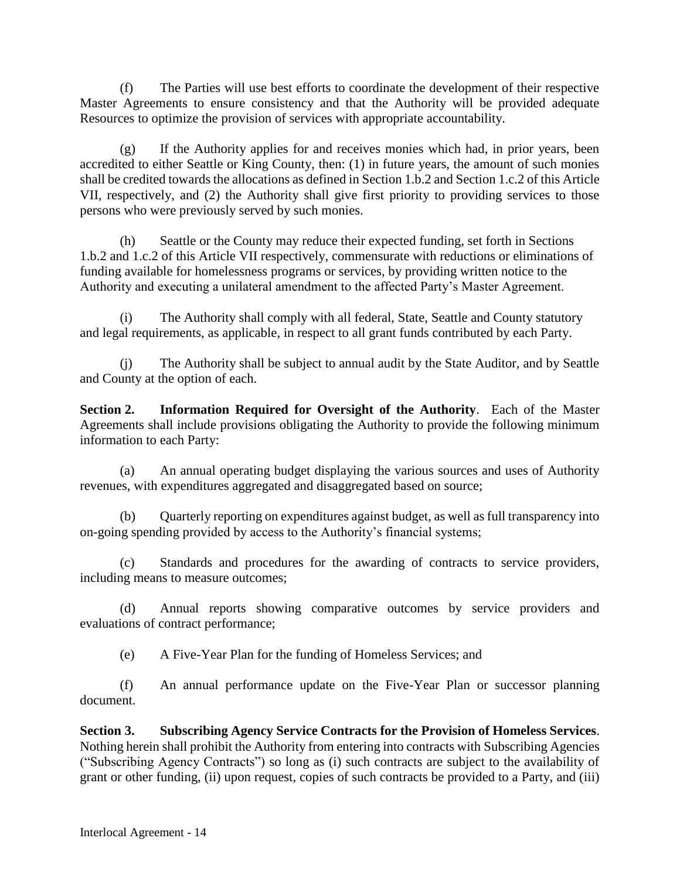(f) The Parties will use best efforts to coordinate the development of their respective Master Agreements to ensure consistency and that the Authority will be provided adequate Resources to optimize the provision of services with appropriate accountability.

(g) If the Authority applies for and receives monies which had, in prior years, been accredited to either Seattle or King County, then: (1) in future years, the amount of such monies shall be credited towards the allocations as defined in Section 1.b.2 and Section 1.c.2 of this Article VII, respectively, and (2) the Authority shall give first priority to providing services to those persons who were previously served by such monies.

(h) Seattle or the County may reduce their expected funding, set forth in Sections 1.b.2 and 1.c.2 of this Article VII respectively, commensurate with reductions or eliminations of funding available for homelessness programs or services, by providing written notice to the Authority and executing a unilateral amendment to the affected Party's Master Agreement.

(i) The Authority shall comply with all federal, State, Seattle and County statutory and legal requirements, as applicable, in respect to all grant funds contributed by each Party.

(j) The Authority shall be subject to annual audit by the State Auditor, and by Seattle and County at the option of each.

**Section 2. Information Required for Oversight of the Authority**. Each of the Master Agreements shall include provisions obligating the Authority to provide the following minimum information to each Party:

(a) An annual operating budget displaying the various sources and uses of Authority revenues, with expenditures aggregated and disaggregated based on source;

(b) Quarterly reporting on expenditures against budget, as well as full transparency into on-going spending provided by access to the Authority's financial systems;

(c) Standards and procedures for the awarding of contracts to service providers, including means to measure outcomes;

(d) Annual reports showing comparative outcomes by service providers and evaluations of contract performance;

(e) A Five-Year Plan for the funding of Homeless Services; and

(f) An annual performance update on the Five-Year Plan or successor planning document.

**Section 3. Subscribing Agency Service Contracts for the Provision of Homeless Services**. Nothing herein shall prohibit the Authority from entering into contracts with Subscribing Agencies ("Subscribing Agency Contracts") so long as (i) such contracts are subject to the availability of grant or other funding, (ii) upon request, copies of such contracts be provided to a Party, and (iii)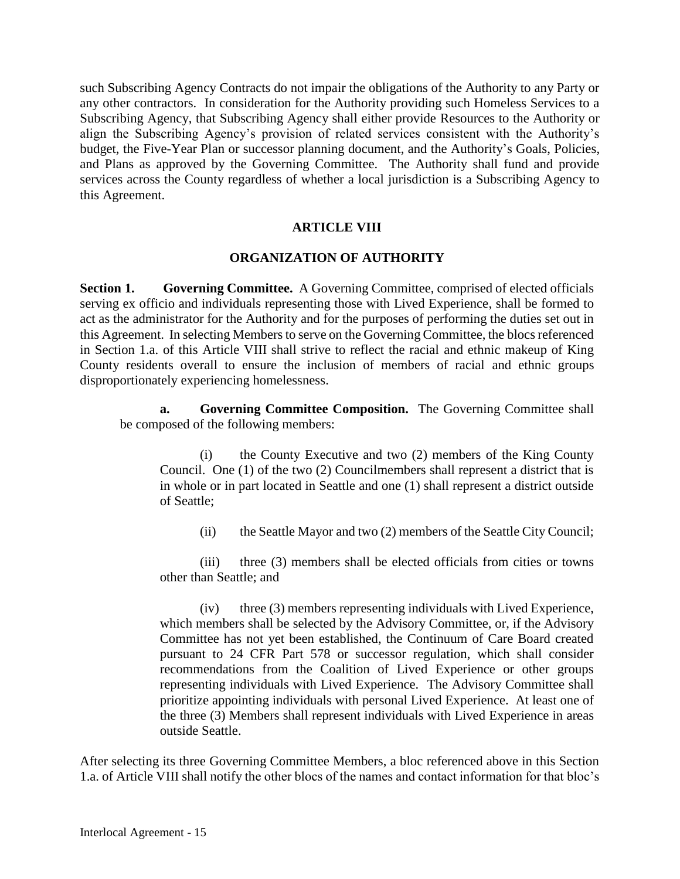such Subscribing Agency Contracts do not impair the obligations of the Authority to any Party or any other contractors. In consideration for the Authority providing such Homeless Services to a Subscribing Agency, that Subscribing Agency shall either provide Resources to the Authority or align the Subscribing Agency's provision of related services consistent with the Authority's budget, the Five-Year Plan or successor planning document, and the Authority's Goals, Policies, and Plans as approved by the Governing Committee. The Authority shall fund and provide services across the County regardless of whether a local jurisdiction is a Subscribing Agency to this Agreement.

### **ARTICLE VIII**

#### **ORGANIZATION OF AUTHORITY**

**Section 1. Governing Committee.** A Governing Committee, comprised of elected officials serving ex officio and individuals representing those with Lived Experience, shall be formed to act as the administrator for the Authority and for the purposes of performing the duties set out in this Agreement. In selecting Members to serve on the Governing Committee, the blocs referenced in Section 1.a. of this Article VIII shall strive to reflect the racial and ethnic makeup of King County residents overall to ensure the inclusion of members of racial and ethnic groups disproportionately experiencing homelessness.

**a. Governing Committee Composition.** The Governing Committee shall be composed of the following members:

(i) the County Executive and two (2) members of the King County Council. One (1) of the two (2) Councilmembers shall represent a district that is in whole or in part located in Seattle and one (1) shall represent a district outside of Seattle;

(ii) the Seattle Mayor and two (2) members of the Seattle City Council;

(iii) three (3) members shall be elected officials from cities or towns other than Seattle; and

(iv) three (3) members representing individuals with Lived Experience, which members shall be selected by the Advisory Committee, or, if the Advisory Committee has not yet been established, the Continuum of Care Board created pursuant to 24 CFR Part 578 or successor regulation, which shall consider recommendations from the Coalition of Lived Experience or other groups representing individuals with Lived Experience. The Advisory Committee shall prioritize appointing individuals with personal Lived Experience. At least one of the three (3) Members shall represent individuals with Lived Experience in areas outside Seattle.

After selecting its three Governing Committee Members, a bloc referenced above in this Section 1.a. of Article VIII shall notify the other blocs of the names and contact information for that bloc's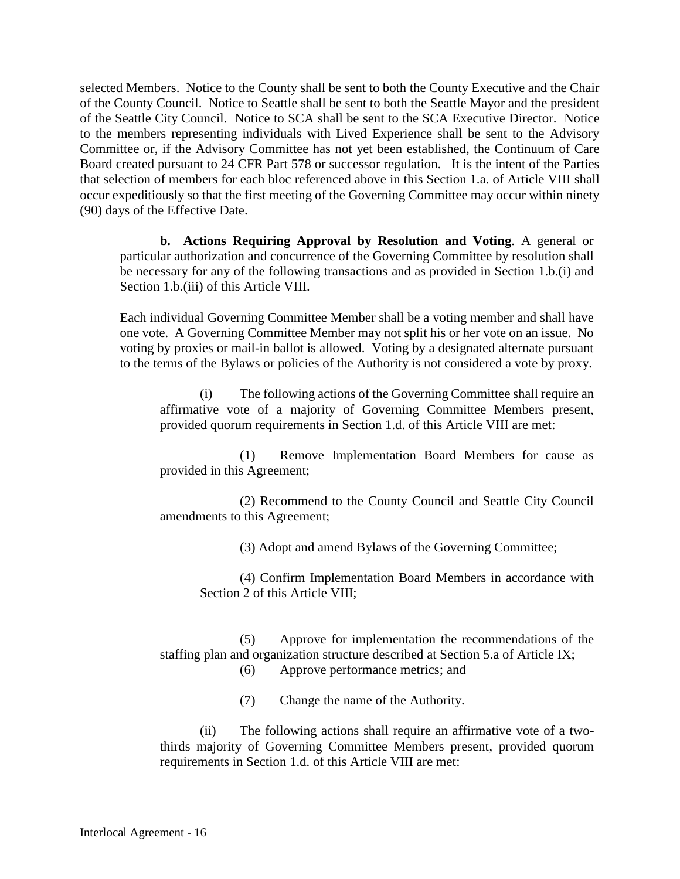selected Members. Notice to the County shall be sent to both the County Executive and the Chair of the County Council. Notice to Seattle shall be sent to both the Seattle Mayor and the president of the Seattle City Council. Notice to SCA shall be sent to the SCA Executive Director. Notice to the members representing individuals with Lived Experience shall be sent to the Advisory Committee or, if the Advisory Committee has not yet been established, the Continuum of Care Board created pursuant to 24 CFR Part 578 or successor regulation. It is the intent of the Parties that selection of members for each bloc referenced above in this Section 1.a. of Article VIII shall occur expeditiously so that the first meeting of the Governing Committee may occur within ninety (90) days of the Effective Date.

**b. Actions Requiring Approval by Resolution and Voting**. A general or particular authorization and concurrence of the Governing Committee by resolution shall be necessary for any of the following transactions and as provided in Section 1.b.(i) and Section 1.b.(iii) of this Article VIII.

Each individual Governing Committee Member shall be a voting member and shall have one vote. A Governing Committee Member may not split his or her vote on an issue. No voting by proxies or mail-in ballot is allowed. Voting by a designated alternate pursuant to the terms of the Bylaws or policies of the Authority is not considered a vote by proxy.

(i) The following actions of the Governing Committee shall require an affirmative vote of a majority of Governing Committee Members present, provided quorum requirements in Section 1.d. of this Article VIII are met:

(1) Remove Implementation Board Members for cause as provided in this Agreement;

(2) Recommend to the County Council and Seattle City Council amendments to this Agreement;

(3) Adopt and amend Bylaws of the Governing Committee;

(4) Confirm Implementation Board Members in accordance with Section 2 of this Article VIII;

(5) Approve for implementation the recommendations of the staffing plan and organization structure described at Section 5.a of Article IX;

(6) Approve performance metrics; and

(7) Change the name of the Authority.

(ii) The following actions shall require an affirmative vote of a twothirds majority of Governing Committee Members present, provided quorum requirements in Section 1.d. of this Article VIII are met: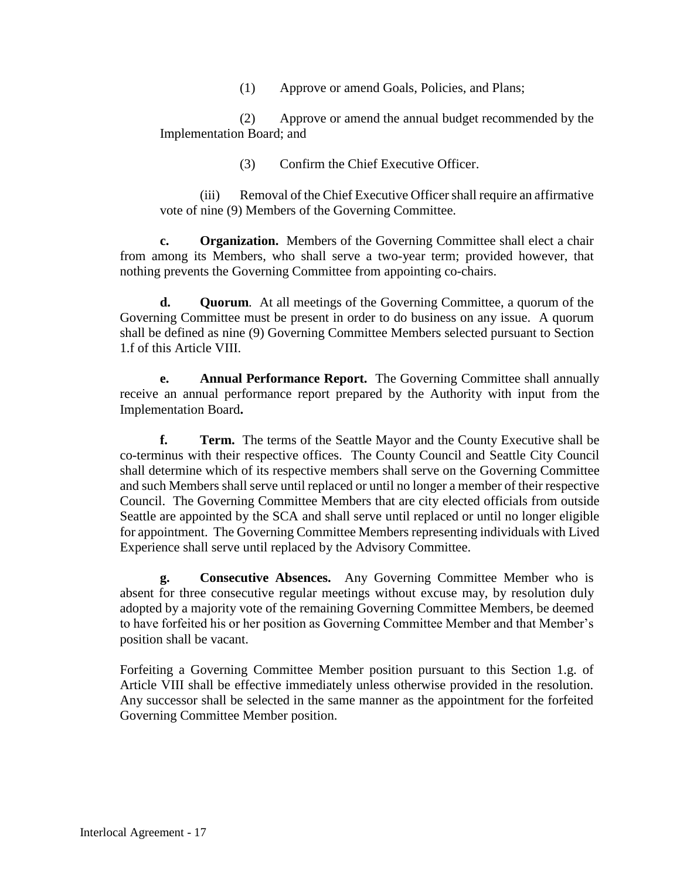(1) Approve or amend Goals, Policies, and Plans;

(2) Approve or amend the annual budget recommended by the Implementation Board; and

(3) Confirm the Chief Executive Officer.

(iii) Removal of the Chief Executive Officer shall require an affirmative vote of nine (9) Members of the Governing Committee.

**c. Organization.** Members of the Governing Committee shall elect a chair from among its Members, who shall serve a two-year term; provided however, that nothing prevents the Governing Committee from appointing co-chairs.

**d. Quorum**. At all meetings of the Governing Committee, a quorum of the Governing Committee must be present in order to do business on any issue. A quorum shall be defined as nine (9) Governing Committee Members selected pursuant to Section 1.f of this Article VIII.

**e. Annual Performance Report.** The Governing Committee shall annually receive an annual performance report prepared by the Authority with input from the Implementation Board**.**

**f. Term.** The terms of the Seattle Mayor and the County Executive shall be co-terminus with their respective offices. The County Council and Seattle City Council shall determine which of its respective members shall serve on the Governing Committee and such Members shall serve until replaced or until no longer a member of their respective Council. The Governing Committee Members that are city elected officials from outside Seattle are appointed by the SCA and shall serve until replaced or until no longer eligible for appointment. The Governing Committee Members representing individuals with Lived Experience shall serve until replaced by the Advisory Committee.

**g. Consecutive Absences.** Any Governing Committee Member who is absent for three consecutive regular meetings without excuse may, by resolution duly adopted by a majority vote of the remaining Governing Committee Members, be deemed to have forfeited his or her position as Governing Committee Member and that Member's position shall be vacant.

Forfeiting a Governing Committee Member position pursuant to this Section 1.g. of Article VIII shall be effective immediately unless otherwise provided in the resolution. Any successor shall be selected in the same manner as the appointment for the forfeited Governing Committee Member position.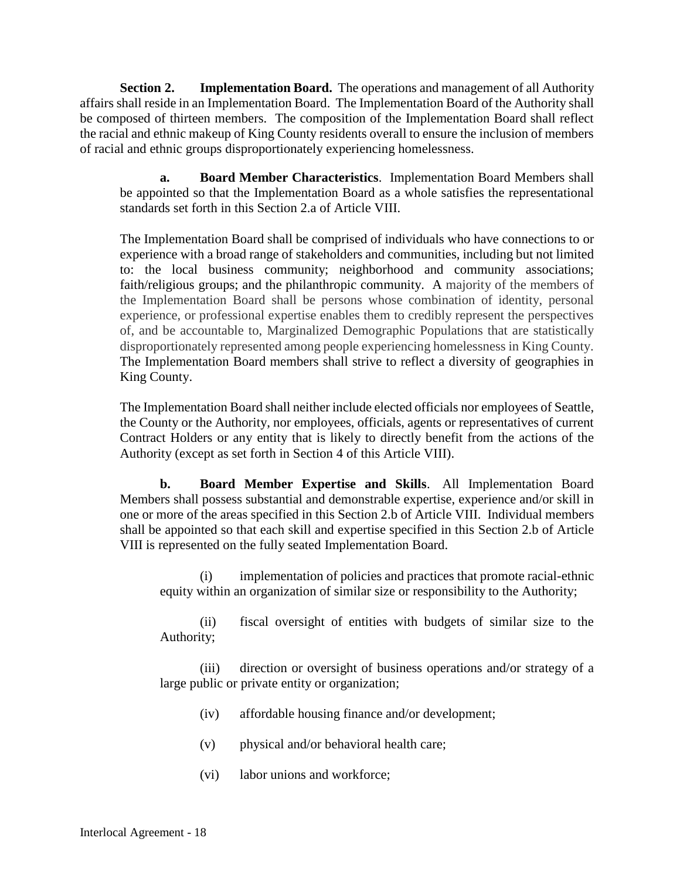**Section 2. Implementation Board.** The operations and management of all Authority affairs shall reside in an Implementation Board. The Implementation Board of the Authority shall be composed of thirteen members. The composition of the Implementation Board shall reflect the racial and ethnic makeup of King County residents overall to ensure the inclusion of members of racial and ethnic groups disproportionately experiencing homelessness.

**a. Board Member Characteristics**. Implementation Board Members shall be appointed so that the Implementation Board as a whole satisfies the representational standards set forth in this Section 2.a of Article VIII.

The Implementation Board shall be comprised of individuals who have connections to or experience with a broad range of stakeholders and communities, including but not limited to: the local business community; neighborhood and community associations; faith/religious groups; and the philanthropic community. A majority of the members of the Implementation Board shall be persons whose combination of identity, personal experience, or professional expertise enables them to credibly represent the perspectives of, and be accountable to, Marginalized Demographic Populations that are statistically disproportionately represented among people experiencing homelessness in King County. The Implementation Board members shall strive to reflect a diversity of geographies in King County.

The Implementation Board shall neither include elected officials nor employees of Seattle, the County or the Authority, nor employees, officials, agents or representatives of current Contract Holders or any entity that is likely to directly benefit from the actions of the Authority (except as set forth in Section 4 of this Article VIII).

**b. Board Member Expertise and Skills**. All Implementation Board Members shall possess substantial and demonstrable expertise, experience and/or skill in one or more of the areas specified in this Section 2.b of Article VIII. Individual members shall be appointed so that each skill and expertise specified in this Section 2.b of Article VIII is represented on the fully seated Implementation Board.

(i) implementation of policies and practices that promote racial-ethnic equity within an organization of similar size or responsibility to the Authority;

(ii) fiscal oversight of entities with budgets of similar size to the Authority;

(iii) direction or oversight of business operations and/or strategy of a large public or private entity or organization;

- (iv) affordable housing finance and/or development;
- (v) physical and/or behavioral health care;
- (vi) labor unions and workforce;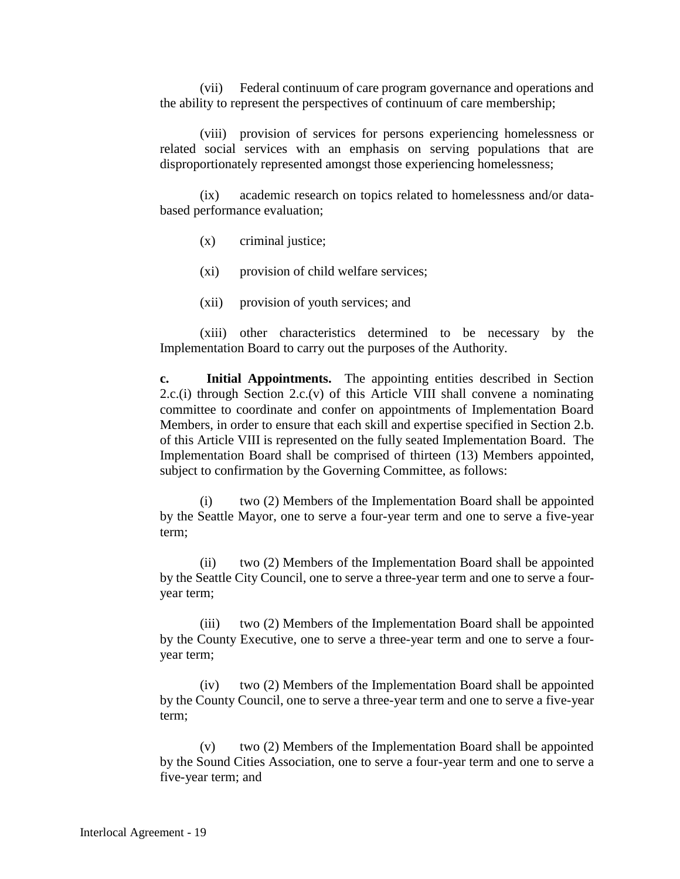(vii) Federal continuum of care program governance and operations and the ability to represent the perspectives of continuum of care membership;

(viii) provision of services for persons experiencing homelessness or related social services with an emphasis on serving populations that are disproportionately represented amongst those experiencing homelessness;

(ix) academic research on topics related to homelessness and/or databased performance evaluation;

- (x) criminal justice;
- (xi) provision of child welfare services;
- (xii) provision of youth services; and

(xiii) other characteristics determined to be necessary by the Implementation Board to carry out the purposes of the Authority.

**c. Initial Appointments.** The appointing entities described in Section 2.c.(i) through Section 2.c.(v) of this Article VIII shall convene a nominating committee to coordinate and confer on appointments of Implementation Board Members, in order to ensure that each skill and expertise specified in Section 2.b. of this Article VIII is represented on the fully seated Implementation Board. The Implementation Board shall be comprised of thirteen (13) Members appointed, subject to confirmation by the Governing Committee, as follows:

(i) two (2) Members of the Implementation Board shall be appointed by the Seattle Mayor, one to serve a four-year term and one to serve a five-year term;

(ii) two (2) Members of the Implementation Board shall be appointed by the Seattle City Council, one to serve a three-year term and one to serve a fouryear term;

(iii) two (2) Members of the Implementation Board shall be appointed by the County Executive, one to serve a three-year term and one to serve a fouryear term;

(iv) two (2) Members of the Implementation Board shall be appointed by the County Council, one to serve a three-year term and one to serve a five-year term;

(v) two (2) Members of the Implementation Board shall be appointed by the Sound Cities Association, one to serve a four-year term and one to serve a five-year term; and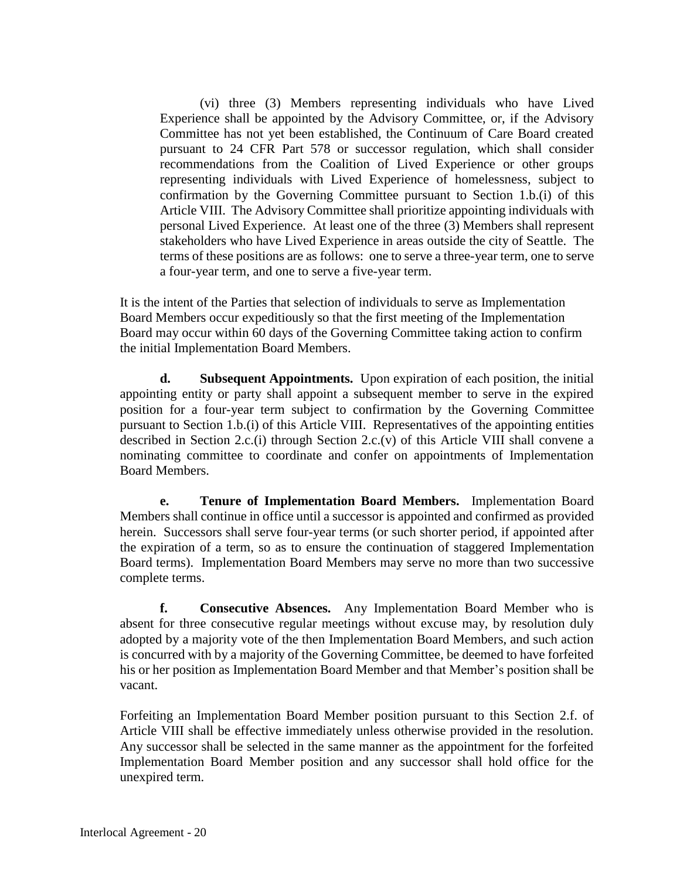(vi) three (3) Members representing individuals who have Lived Experience shall be appointed by the Advisory Committee, or, if the Advisory Committee has not yet been established, the Continuum of Care Board created pursuant to 24 CFR Part 578 or successor regulation, which shall consider recommendations from the Coalition of Lived Experience or other groups representing individuals with Lived Experience of homelessness, subject to confirmation by the Governing Committee pursuant to Section 1.b.(i) of this Article VIII. The Advisory Committee shall prioritize appointing individuals with personal Lived Experience. At least one of the three (3) Members shall represent stakeholders who have Lived Experience in areas outside the city of Seattle. The terms of these positions are as follows: one to serve a three-year term, one to serve a four-year term, and one to serve a five-year term.

It is the intent of the Parties that selection of individuals to serve as Implementation Board Members occur expeditiously so that the first meeting of the Implementation Board may occur within 60 days of the Governing Committee taking action to confirm the initial Implementation Board Members.

**d. Subsequent Appointments.** Upon expiration of each position, the initial appointing entity or party shall appoint a subsequent member to serve in the expired position for a four-year term subject to confirmation by the Governing Committee pursuant to Section 1.b.(i) of this Article VIII. Representatives of the appointing entities described in Section 2.c.(i) through Section 2.c.(v) of this Article VIII shall convene a nominating committee to coordinate and confer on appointments of Implementation Board Members.

**e. Tenure of Implementation Board Members.** Implementation Board Members shall continue in office until a successor is appointed and confirmed as provided herein. Successors shall serve four-year terms (or such shorter period, if appointed after the expiration of a term, so as to ensure the continuation of staggered Implementation Board terms). Implementation Board Members may serve no more than two successive complete terms.

**f. Consecutive Absences.** Any Implementation Board Member who is absent for three consecutive regular meetings without excuse may, by resolution duly adopted by a majority vote of the then Implementation Board Members, and such action is concurred with by a majority of the Governing Committee, be deemed to have forfeited his or her position as Implementation Board Member and that Member's position shall be vacant.

Forfeiting an Implementation Board Member position pursuant to this Section 2.f. of Article VIII shall be effective immediately unless otherwise provided in the resolution. Any successor shall be selected in the same manner as the appointment for the forfeited Implementation Board Member position and any successor shall hold office for the unexpired term.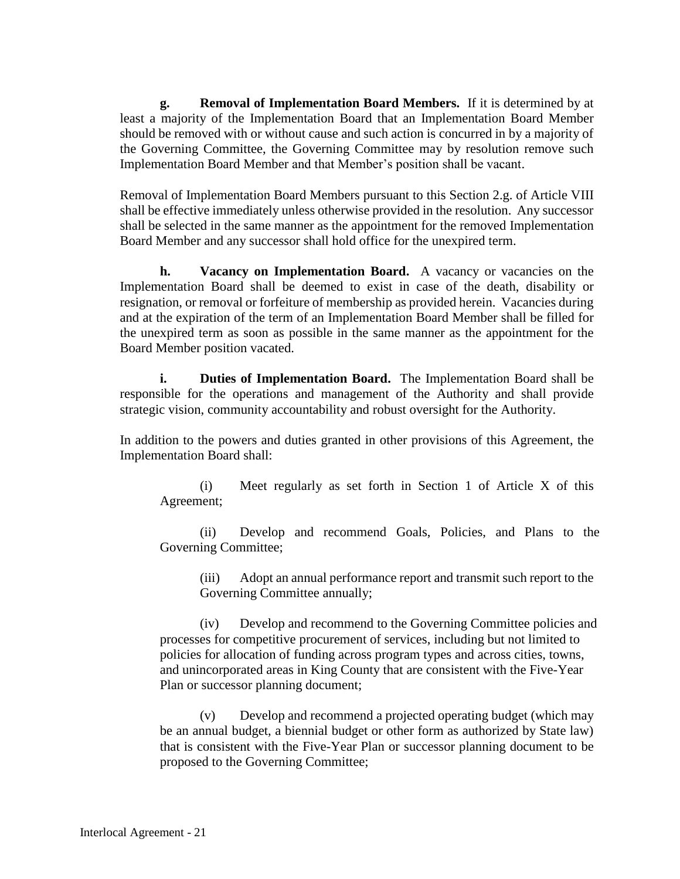**g. Removal of Implementation Board Members.** If it is determined by at least a majority of the Implementation Board that an Implementation Board Member should be removed with or without cause and such action is concurred in by a majority of the Governing Committee, the Governing Committee may by resolution remove such Implementation Board Member and that Member's position shall be vacant.

Removal of Implementation Board Members pursuant to this Section 2.g. of Article VIII shall be effective immediately unless otherwise provided in the resolution. Any successor shall be selected in the same manner as the appointment for the removed Implementation Board Member and any successor shall hold office for the unexpired term.

**h. Vacancy on Implementation Board.** A vacancy or vacancies on the Implementation Board shall be deemed to exist in case of the death, disability or resignation, or removal or forfeiture of membership as provided herein. Vacancies during and at the expiration of the term of an Implementation Board Member shall be filled for the unexpired term as soon as possible in the same manner as the appointment for the Board Member position vacated.

**i. Duties of Implementation Board.** The Implementation Board shall be responsible for the operations and management of the Authority and shall provide strategic vision, community accountability and robust oversight for the Authority.

In addition to the powers and duties granted in other provisions of this Agreement, the Implementation Board shall:

(i) Meet regularly as set forth in Section 1 of Article X of this Agreement;

(ii) Develop and recommend Goals, Policies, and Plans to the Governing Committee;

(iii) Adopt an annual performance report and transmit such report to the Governing Committee annually;

(iv) Develop and recommend to the Governing Committee policies and processes for competitive procurement of services, including but not limited to policies for allocation of funding across program types and across cities, towns, and unincorporated areas in King County that are consistent with the Five-Year Plan or successor planning document;

(v) Develop and recommend a projected operating budget (which may be an annual budget, a biennial budget or other form as authorized by State law) that is consistent with the Five-Year Plan or successor planning document to be proposed to the Governing Committee;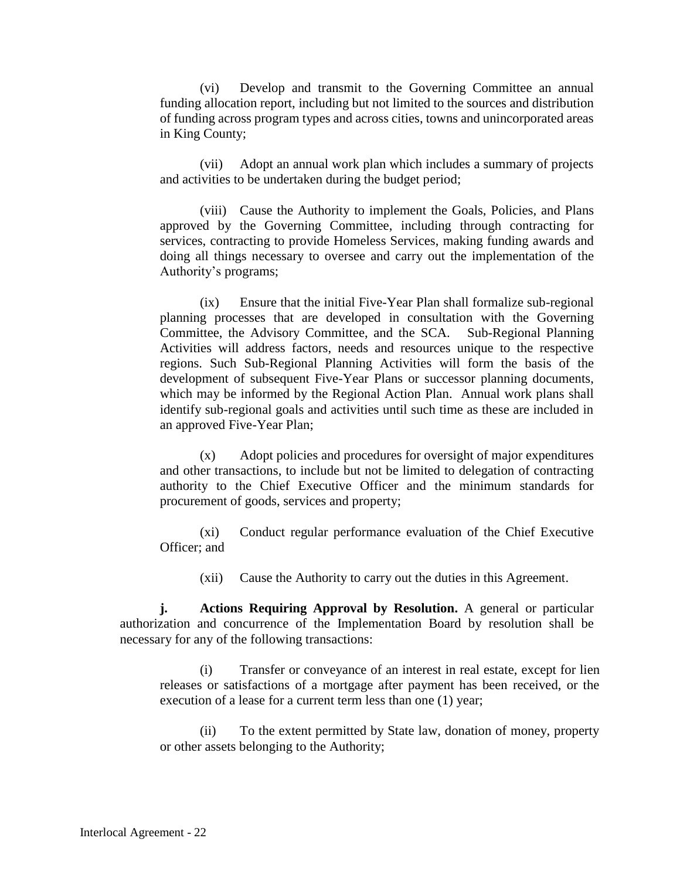(vi) Develop and transmit to the Governing Committee an annual funding allocation report, including but not limited to the sources and distribution of funding across program types and across cities, towns and unincorporated areas in King County;

(vii) Adopt an annual work plan which includes a summary of projects and activities to be undertaken during the budget period;

(viii) Cause the Authority to implement the Goals, Policies, and Plans approved by the Governing Committee, including through contracting for services, contracting to provide Homeless Services, making funding awards and doing all things necessary to oversee and carry out the implementation of the Authority's programs;

(ix) Ensure that the initial Five-Year Plan shall formalize sub-regional planning processes that are developed in consultation with the Governing Committee, the Advisory Committee, and the SCA. Sub-Regional Planning Activities will address factors, needs and resources unique to the respective regions. Such Sub-Regional Planning Activities will form the basis of the development of subsequent Five-Year Plans or successor planning documents, which may be informed by the Regional Action Plan. Annual work plans shall identify sub-regional goals and activities until such time as these are included in an approved Five-Year Plan;

(x) Adopt policies and procedures for oversight of major expenditures and other transactions, to include but not be limited to delegation of contracting authority to the Chief Executive Officer and the minimum standards for procurement of goods, services and property;

(xi) Conduct regular performance evaluation of the Chief Executive Officer; and

(xii) Cause the Authority to carry out the duties in this Agreement.

**j. Actions Requiring Approval by Resolution.** A general or particular authorization and concurrence of the Implementation Board by resolution shall be necessary for any of the following transactions:

(i) Transfer or conveyance of an interest in real estate, except for lien releases or satisfactions of a mortgage after payment has been received, or the execution of a lease for a current term less than one (1) year;

(ii) To the extent permitted by State law, donation of money, property or other assets belonging to the Authority;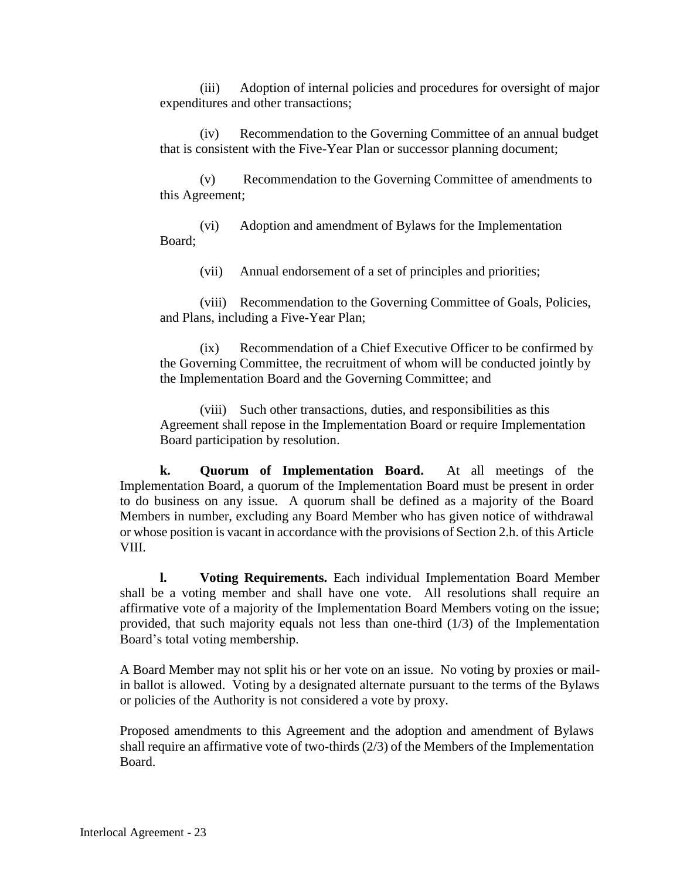(iii) Adoption of internal policies and procedures for oversight of major expenditures and other transactions;

(iv) Recommendation to the Governing Committee of an annual budget that is consistent with the Five-Year Plan or successor planning document;

(v) Recommendation to the Governing Committee of amendments to this Agreement;

(vi) Adoption and amendment of Bylaws for the Implementation Board;

(vii) Annual endorsement of a set of principles and priorities;

(viii) Recommendation to the Governing Committee of Goals, Policies, and Plans, including a Five-Year Plan;

(ix) Recommendation of a Chief Executive Officer to be confirmed by the Governing Committee, the recruitment of whom will be conducted jointly by the Implementation Board and the Governing Committee; and

(viii) Such other transactions, duties, and responsibilities as this Agreement shall repose in the Implementation Board or require Implementation Board participation by resolution.

**k. Quorum of Implementation Board.** At all meetings of the Implementation Board, a quorum of the Implementation Board must be present in order to do business on any issue. A quorum shall be defined as a majority of the Board Members in number, excluding any Board Member who has given notice of withdrawal or whose position is vacant in accordance with the provisions of Section 2.h. of this Article VIII.

**l. Voting Requirements.** Each individual Implementation Board Member shall be a voting member and shall have one vote. All resolutions shall require an affirmative vote of a majority of the Implementation Board Members voting on the issue; provided, that such majority equals not less than one-third (1/3) of the Implementation Board's total voting membership.

A Board Member may not split his or her vote on an issue. No voting by proxies or mailin ballot is allowed. Voting by a designated alternate pursuant to the terms of the Bylaws or policies of the Authority is not considered a vote by proxy.

Proposed amendments to this Agreement and the adoption and amendment of Bylaws shall require an affirmative vote of two-thirds (2/3) of the Members of the Implementation Board.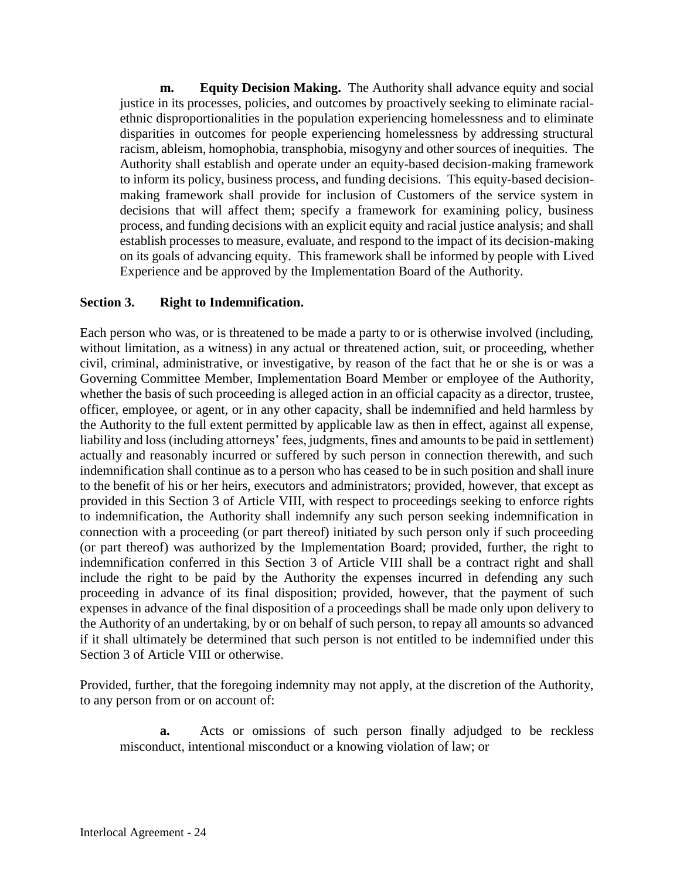**m. Equity Decision Making.** The Authority shall advance equity and social justice in its processes, policies, and outcomes by proactively seeking to eliminate racialethnic disproportionalities in the population experiencing homelessness and to eliminate disparities in outcomes for people experiencing homelessness by addressing structural racism, ableism, homophobia, transphobia, misogyny and other sources of inequities. The Authority shall establish and operate under an equity-based decision-making framework to inform its policy, business process, and funding decisions. This equity-based decisionmaking framework shall provide for inclusion of Customers of the service system in decisions that will affect them; specify a framework for examining policy, business process, and funding decisions with an explicit equity and racial justice analysis; and shall establish processes to measure, evaluate, and respond to the impact of its decision-making on its goals of advancing equity. This framework shall be informed by people with Lived Experience and be approved by the Implementation Board of the Authority.

# **Section 3. Right to Indemnification.**

Each person who was, or is threatened to be made a party to or is otherwise involved (including, without limitation, as a witness) in any actual or threatened action, suit, or proceeding, whether civil, criminal, administrative, or investigative, by reason of the fact that he or she is or was a Governing Committee Member, Implementation Board Member or employee of the Authority, whether the basis of such proceeding is alleged action in an official capacity as a director, trustee, officer, employee, or agent, or in any other capacity, shall be indemnified and held harmless by the Authority to the full extent permitted by applicable law as then in effect, against all expense, liability and loss (including attorneys' fees, judgments, fines and amounts to be paid in settlement) actually and reasonably incurred or suffered by such person in connection therewith, and such indemnification shall continue as to a person who has ceased to be in such position and shall inure to the benefit of his or her heirs, executors and administrators; provided, however, that except as provided in this Section 3 of Article VIII, with respect to proceedings seeking to enforce rights to indemnification, the Authority shall indemnify any such person seeking indemnification in connection with a proceeding (or part thereof) initiated by such person only if such proceeding (or part thereof) was authorized by the Implementation Board; provided, further, the right to indemnification conferred in this Section 3 of Article VIII shall be a contract right and shall include the right to be paid by the Authority the expenses incurred in defending any such proceeding in advance of its final disposition; provided, however, that the payment of such expenses in advance of the final disposition of a proceedings shall be made only upon delivery to the Authority of an undertaking, by or on behalf of such person, to repay all amounts so advanced if it shall ultimately be determined that such person is not entitled to be indemnified under this Section 3 of Article VIII or otherwise.

Provided, further, that the foregoing indemnity may not apply, at the discretion of the Authority, to any person from or on account of:

**a.** Acts or omissions of such person finally adjudged to be reckless misconduct, intentional misconduct or a knowing violation of law; or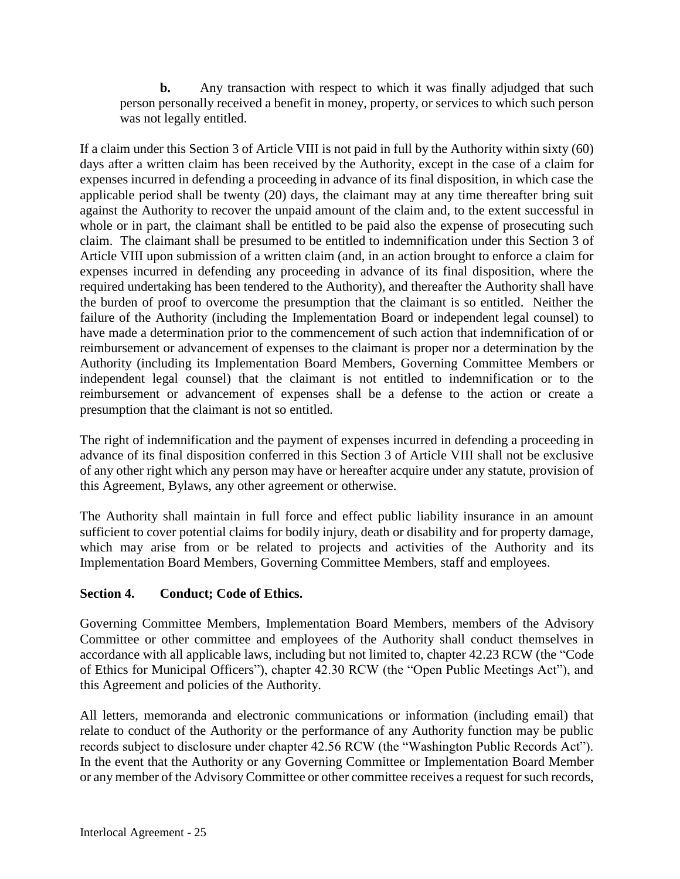**b.** Any transaction with respect to which it was finally adjudged that such person personally received a benefit in money, property, or services to which such person was not legally entitled.

If a claim under this Section 3 of Article VIII is not paid in full by the Authority within sixty (60) days after a written claim has been received by the Authority, except in the case of a claim for expenses incurred in defending a proceeding in advance of its final disposition, in which case the applicable period shall be twenty (20) days, the claimant may at any time thereafter bring suit against the Authority to recover the unpaid amount of the claim and, to the extent successful in whole or in part, the claimant shall be entitled to be paid also the expense of prosecuting such claim. The claimant shall be presumed to be entitled to indemnification under this Section 3 of Article VIII upon submission of a written claim (and, in an action brought to enforce a claim for expenses incurred in defending any proceeding in advance of its final disposition, where the required undertaking has been tendered to the Authority), and thereafter the Authority shall have the burden of proof to overcome the presumption that the claimant is so entitled. Neither the failure of the Authority (including the Implementation Board or independent legal counsel) to have made a determination prior to the commencement of such action that indemnification of or reimbursement or advancement of expenses to the claimant is proper nor a determination by the Authority (including its Implementation Board Members, Governing Committee Members or independent legal counsel) that the claimant is not entitled to indemnification or to the reimbursement or advancement of expenses shall be a defense to the action or create a presumption that the claimant is not so entitled.

The right of indemnification and the payment of expenses incurred in defending a proceeding in advance of its final disposition conferred in this Section 3 of Article VIII shall not be exclusive of any other right which any person may have or hereafter acquire under any statute, provision of this Agreement, Bylaws, any other agreement or otherwise.

The Authority shall maintain in full force and effect public liability insurance in an amount sufficient to cover potential claims for bodily injury, death or disability and for property damage, which may arise from or be related to projects and activities of the Authority and its Implementation Board Members, Governing Committee Members, staff and employees.

# **Section 4. Conduct; Code of Ethics.**

Governing Committee Members, Implementation Board Members, members of the Advisory Committee or other committee and employees of the Authority shall conduct themselves in accordance with all applicable laws, including but not limited to, chapter 42.23 RCW (the "Code of Ethics for Municipal Officers"), chapter 42.30 RCW (the "Open Public Meetings Act"), and this Agreement and policies of the Authority.

All letters, memoranda and electronic communications or information (including email) that relate to conduct of the Authority or the performance of any Authority function may be public records subject to disclosure under chapter 42.56 RCW (the "Washington Public Records Act"). In the event that the Authority or any Governing Committee or Implementation Board Member or any member of the Advisory Committee or other committee receives a request for such records,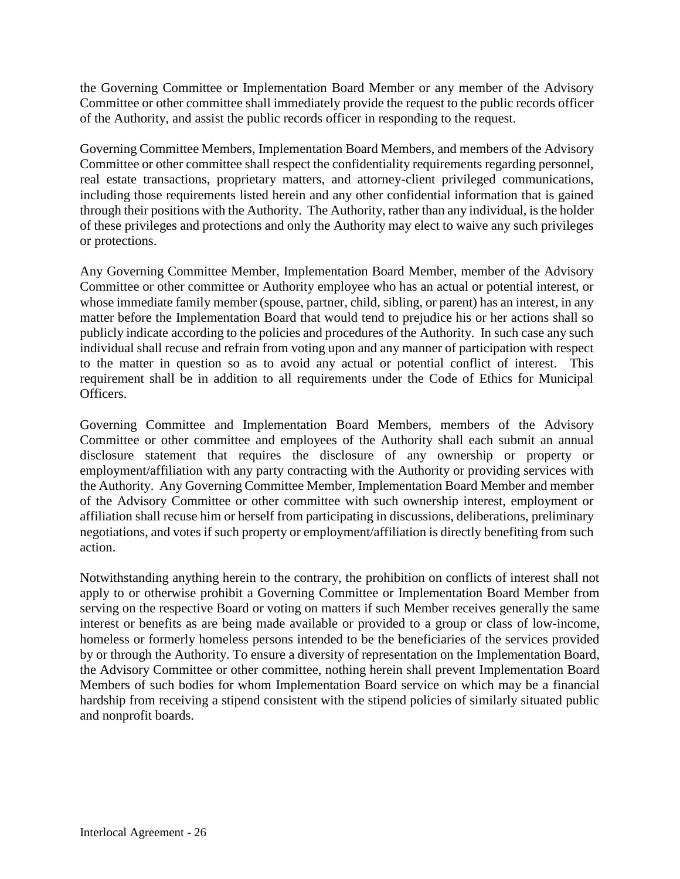the Governing Committee or Implementation Board Member or any member of the Advisory Committee or other committee shall immediately provide the request to the public records officer of the Authority, and assist the public records officer in responding to the request.

Governing Committee Members, Implementation Board Members, and members of the Advisory Committee or other committee shall respect the confidentiality requirements regarding personnel, real estate transactions, proprietary matters, and attorney-client privileged communications, including those requirements listed herein and any other confidential information that is gained through their positions with the Authority. The Authority, rather than any individual, is the holder of these privileges and protections and only the Authority may elect to waive any such privileges or protections.

Any Governing Committee Member, Implementation Board Member, member of the Advisory Committee or other committee or Authority employee who has an actual or potential interest, or whose immediate family member (spouse, partner, child, sibling, or parent) has an interest, in any matter before the Implementation Board that would tend to prejudice his or her actions shall so publicly indicate according to the policies and procedures of the Authority. In such case any such individual shall recuse and refrain from voting upon and any manner of participation with respect to the matter in question so as to avoid any actual or potential conflict of interest. This requirement shall be in addition to all requirements under the Code of Ethics for Municipal Officers.

Governing Committee and Implementation Board Members, members of the Advisory Committee or other committee and employees of the Authority shall each submit an annual disclosure statement that requires the disclosure of any ownership or property or employment/affiliation with any party contracting with the Authority or providing services with the Authority. Any Governing Committee Member, Implementation Board Member and member of the Advisory Committee or other committee with such ownership interest, employment or affiliation shall recuse him or herself from participating in discussions, deliberations, preliminary negotiations, and votes if such property or employment/affiliation is directly benefiting from such action.

Notwithstanding anything herein to the contrary, the prohibition on conflicts of interest shall not apply to or otherwise prohibit a Governing Committee or Implementation Board Member from serving on the respective Board or voting on matters if such Member receives generally the same interest or benefits as are being made available or provided to a group or class of low-income, homeless or formerly homeless persons intended to be the beneficiaries of the services provided by or through the Authority. To ensure a diversity of representation on the Implementation Board, the Advisory Committee or other committee, nothing herein shall prevent Implementation Board Members of such bodies for whom Implementation Board service on which may be a financial hardship from receiving a stipend consistent with the stipend policies of similarly situated public and nonprofit boards.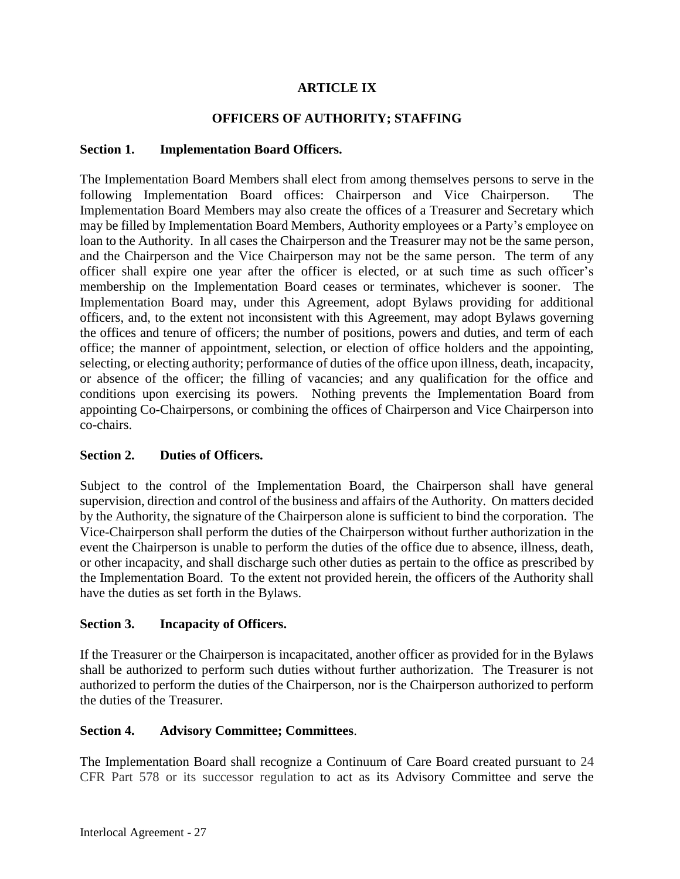# **ARTICLE IX**

# **OFFICERS OF AUTHORITY; STAFFING**

### **Section 1. Implementation Board Officers.**

The Implementation Board Members shall elect from among themselves persons to serve in the following Implementation Board offices: Chairperson and Vice Chairperson. The Implementation Board Members may also create the offices of a Treasurer and Secretary which may be filled by Implementation Board Members, Authority employees or a Party's employee on loan to the Authority. In all cases the Chairperson and the Treasurer may not be the same person, and the Chairperson and the Vice Chairperson may not be the same person. The term of any officer shall expire one year after the officer is elected, or at such time as such officer's membership on the Implementation Board ceases or terminates, whichever is sooner. The Implementation Board may, under this Agreement, adopt Bylaws providing for additional officers, and, to the extent not inconsistent with this Agreement, may adopt Bylaws governing the offices and tenure of officers; the number of positions, powers and duties, and term of each office; the manner of appointment, selection, or election of office holders and the appointing, selecting, or electing authority; performance of duties of the office upon illness, death, incapacity, or absence of the officer; the filling of vacancies; and any qualification for the office and conditions upon exercising its powers. Nothing prevents the Implementation Board from appointing Co-Chairpersons, or combining the offices of Chairperson and Vice Chairperson into co-chairs.

# **Section 2. Duties of Officers.**

Subject to the control of the Implementation Board, the Chairperson shall have general supervision, direction and control of the business and affairs of the Authority. On matters decided by the Authority, the signature of the Chairperson alone is sufficient to bind the corporation. The Vice-Chairperson shall perform the duties of the Chairperson without further authorization in the event the Chairperson is unable to perform the duties of the office due to absence, illness, death, or other incapacity, and shall discharge such other duties as pertain to the office as prescribed by the Implementation Board. To the extent not provided herein, the officers of the Authority shall have the duties as set forth in the Bylaws.

# **Section 3. Incapacity of Officers.**

If the Treasurer or the Chairperson is incapacitated, another officer as provided for in the Bylaws shall be authorized to perform such duties without further authorization. The Treasurer is not authorized to perform the duties of the Chairperson, nor is the Chairperson authorized to perform the duties of the Treasurer.

# **Section 4. Advisory Committee; Committees**.

The Implementation Board shall recognize a Continuum of Care Board created pursuant to 24 CFR Part 578 or its successor regulation to act as its Advisory Committee and serve the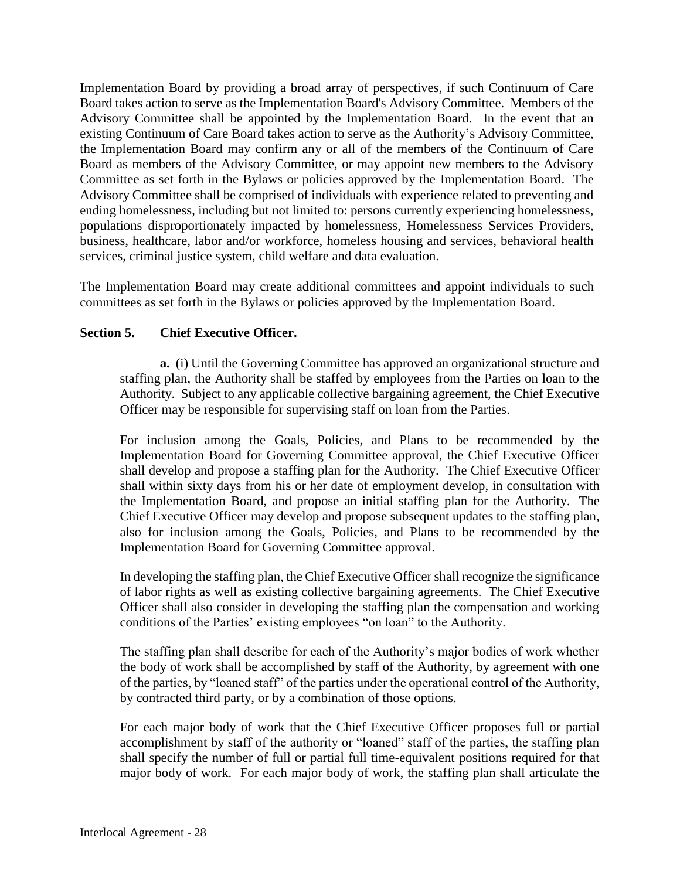Implementation Board by providing a broad array of perspectives, if such Continuum of Care Board takes action to serve as the Implementation Board's Advisory Committee. Members of the Advisory Committee shall be appointed by the Implementation Board. In the event that an existing Continuum of Care Board takes action to serve as the Authority's Advisory Committee, the Implementation Board may confirm any or all of the members of the Continuum of Care Board as members of the Advisory Committee, or may appoint new members to the Advisory Committee as set forth in the Bylaws or policies approved by the Implementation Board. The Advisory Committee shall be comprised of individuals with experience related to preventing and ending homelessness, including but not limited to: persons currently experiencing homelessness, populations disproportionately impacted by homelessness, Homelessness Services Providers, business, healthcare, labor and/or workforce, homeless housing and services, behavioral health services, criminal justice system, child welfare and data evaluation.

The Implementation Board may create additional committees and appoint individuals to such committees as set forth in the Bylaws or policies approved by the Implementation Board.

### **Section 5. Chief Executive Officer.**

**a.** (i) Until the Governing Committee has approved an organizational structure and staffing plan, the Authority shall be staffed by employees from the Parties on loan to the Authority. Subject to any applicable collective bargaining agreement, the Chief Executive Officer may be responsible for supervising staff on loan from the Parties.

For inclusion among the Goals, Policies, and Plans to be recommended by the Implementation Board for Governing Committee approval, the Chief Executive Officer shall develop and propose a staffing plan for the Authority. The Chief Executive Officer shall within sixty days from his or her date of employment develop, in consultation with the Implementation Board, and propose an initial staffing plan for the Authority. The Chief Executive Officer may develop and propose subsequent updates to the staffing plan, also for inclusion among the Goals, Policies, and Plans to be recommended by the Implementation Board for Governing Committee approval.

In developing the staffing plan, the Chief Executive Officer shall recognize the significance of labor rights as well as existing collective bargaining agreements. The Chief Executive Officer shall also consider in developing the staffing plan the compensation and working conditions of the Parties' existing employees "on loan" to the Authority.

The staffing plan shall describe for each of the Authority's major bodies of work whether the body of work shall be accomplished by staff of the Authority, by agreement with one of the parties, by "loaned staff" of the parties under the operational control of the Authority, by contracted third party, or by a combination of those options.

For each major body of work that the Chief Executive Officer proposes full or partial accomplishment by staff of the authority or "loaned" staff of the parties, the staffing plan shall specify the number of full or partial full time-equivalent positions required for that major body of work. For each major body of work, the staffing plan shall articulate the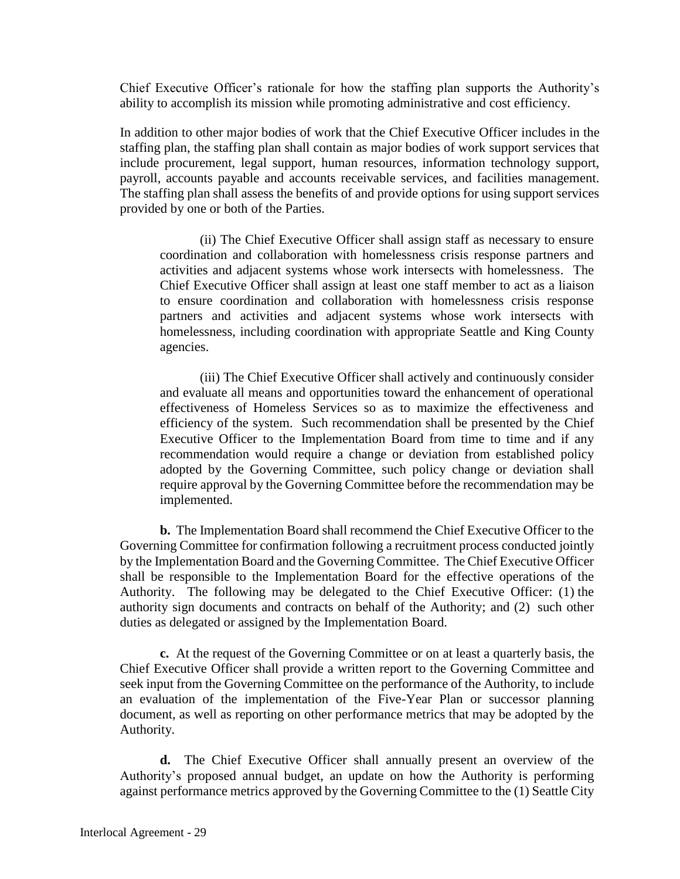Chief Executive Officer's rationale for how the staffing plan supports the Authority's ability to accomplish its mission while promoting administrative and cost efficiency.

In addition to other major bodies of work that the Chief Executive Officer includes in the staffing plan, the staffing plan shall contain as major bodies of work support services that include procurement, legal support, human resources, information technology support, payroll, accounts payable and accounts receivable services, and facilities management. The staffing plan shall assess the benefits of and provide options for using support services provided by one or both of the Parties.

(ii) The Chief Executive Officer shall assign staff as necessary to ensure coordination and collaboration with homelessness crisis response partners and activities and adjacent systems whose work intersects with homelessness. The Chief Executive Officer shall assign at least one staff member to act as a liaison to ensure coordination and collaboration with homelessness crisis response partners and activities and adjacent systems whose work intersects with homelessness, including coordination with appropriate Seattle and King County agencies.

(iii) The Chief Executive Officer shall actively and continuously consider and evaluate all means and opportunities toward the enhancement of operational effectiveness of Homeless Services so as to maximize the effectiveness and efficiency of the system. Such recommendation shall be presented by the Chief Executive Officer to the Implementation Board from time to time and if any recommendation would require a change or deviation from established policy adopted by the Governing Committee, such policy change or deviation shall require approval by the Governing Committee before the recommendation may be implemented.

**b.** The Implementation Board shall recommend the Chief Executive Officer to the Governing Committee for confirmation following a recruitment process conducted jointly by the Implementation Board and the Governing Committee. The Chief Executive Officer shall be responsible to the Implementation Board for the effective operations of the Authority. The following may be delegated to the Chief Executive Officer: (1) the authority sign documents and contracts on behalf of the Authority; and (2) such other duties as delegated or assigned by the Implementation Board.

**c.** At the request of the Governing Committee or on at least a quarterly basis, the Chief Executive Officer shall provide a written report to the Governing Committee and seek input from the Governing Committee on the performance of the Authority, to include an evaluation of the implementation of the Five-Year Plan or successor planning document, as well as reporting on other performance metrics that may be adopted by the Authority.

**d.** The Chief Executive Officer shall annually present an overview of the Authority's proposed annual budget, an update on how the Authority is performing against performance metrics approved by the Governing Committee to the (1) Seattle City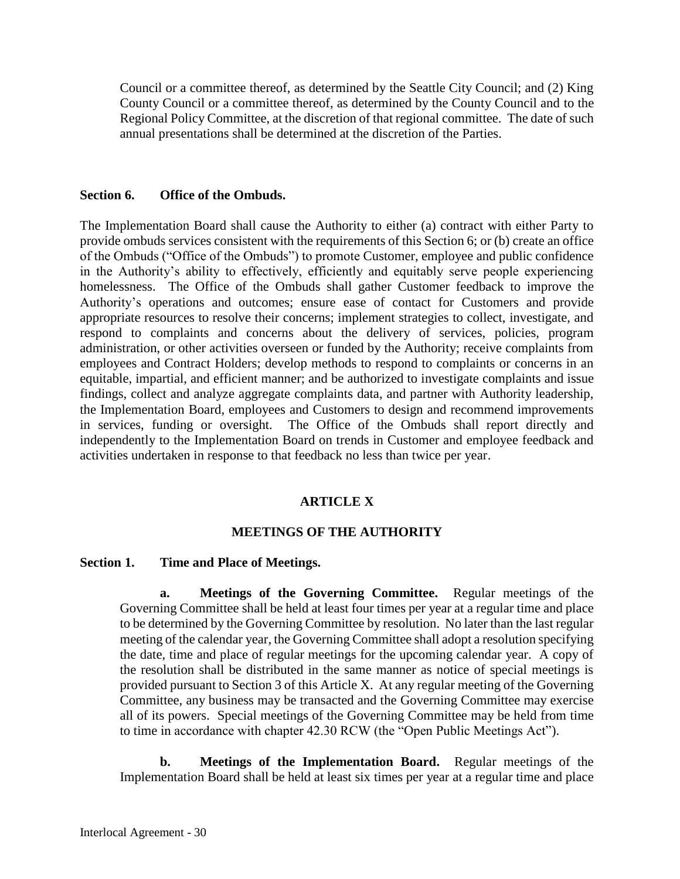Council or a committee thereof, as determined by the Seattle City Council; and (2) King County Council or a committee thereof, as determined by the County Council and to the Regional Policy Committee, at the discretion of that regional committee. The date of such annual presentations shall be determined at the discretion of the Parties.

#### **Section 6. Office of the Ombuds.**

The Implementation Board shall cause the Authority to either (a) contract with either Party to provide ombuds services consistent with the requirements of this Section 6; or (b) create an office of the Ombuds ("Office of the Ombuds") to promote Customer, employee and public confidence in the Authority's ability to effectively, efficiently and equitably serve people experiencing homelessness. The Office of the Ombuds shall gather Customer feedback to improve the Authority's operations and outcomes; ensure ease of contact for Customers and provide appropriate resources to resolve their concerns; implement strategies to collect, investigate, and respond to complaints and concerns about the delivery of services, policies, program administration, or other activities overseen or funded by the Authority; receive complaints from employees and Contract Holders; develop methods to respond to complaints or concerns in an equitable, impartial, and efficient manner; and be authorized to investigate complaints and issue findings, collect and analyze aggregate complaints data, and partner with Authority leadership, the Implementation Board, employees and Customers to design and recommend improvements in services, funding or oversight. The Office of the Ombuds shall report directly and independently to the Implementation Board on trends in Customer and employee feedback and activities undertaken in response to that feedback no less than twice per year.

#### **ARTICLE X**

#### **MEETINGS OF THE AUTHORITY**

#### **Section 1. Time and Place of Meetings.**

**a. Meetings of the Governing Committee.** Regular meetings of the Governing Committee shall be held at least four times per year at a regular time and place to be determined by the Governing Committee by resolution. No later than the last regular meeting of the calendar year, the Governing Committee shall adopt a resolution specifying the date, time and place of regular meetings for the upcoming calendar year. A copy of the resolution shall be distributed in the same manner as notice of special meetings is provided pursuant to Section 3 of this Article X. At any regular meeting of the Governing Committee, any business may be transacted and the Governing Committee may exercise all of its powers. Special meetings of the Governing Committee may be held from time to time in accordance with chapter 42.30 RCW (the "Open Public Meetings Act").

**b. Meetings of the Implementation Board.** Regular meetings of the Implementation Board shall be held at least six times per year at a regular time and place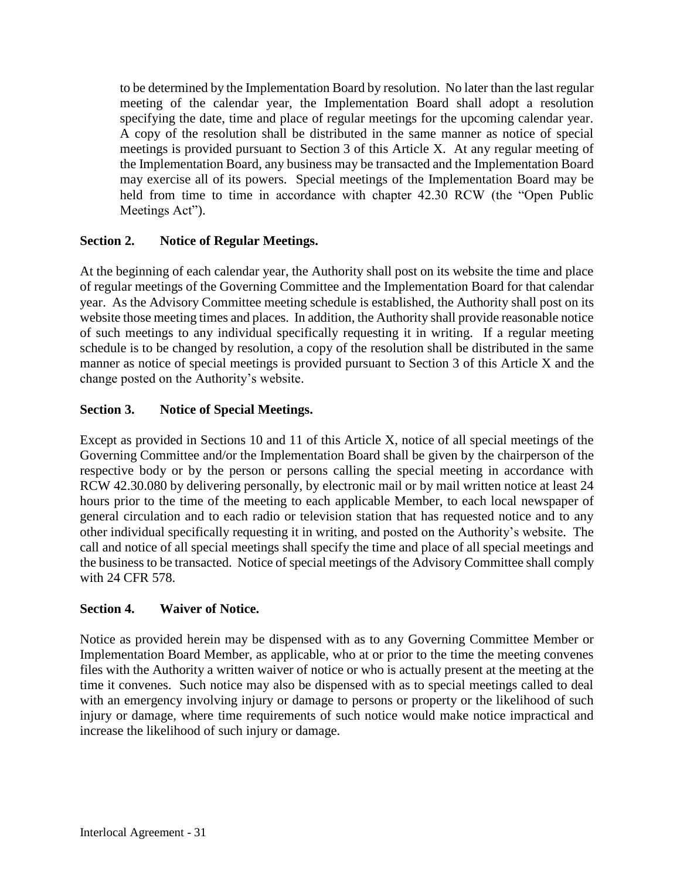to be determined by the Implementation Board by resolution. No later than the last regular meeting of the calendar year, the Implementation Board shall adopt a resolution specifying the date, time and place of regular meetings for the upcoming calendar year. A copy of the resolution shall be distributed in the same manner as notice of special meetings is provided pursuant to Section 3 of this Article X. At any regular meeting of the Implementation Board, any business may be transacted and the Implementation Board may exercise all of its powers. Special meetings of the Implementation Board may be held from time to time in accordance with chapter 42.30 RCW (the "Open Public Meetings Act").

# **Section 2. Notice of Regular Meetings.**

At the beginning of each calendar year, the Authority shall post on its website the time and place of regular meetings of the Governing Committee and the Implementation Board for that calendar year. As the Advisory Committee meeting schedule is established, the Authority shall post on its website those meeting times and places. In addition, the Authority shall provide reasonable notice of such meetings to any individual specifically requesting it in writing. If a regular meeting schedule is to be changed by resolution, a copy of the resolution shall be distributed in the same manner as notice of special meetings is provided pursuant to Section 3 of this Article X and the change posted on the Authority's website.

# **Section 3. Notice of Special Meetings.**

Except as provided in Sections 10 and 11 of this Article X, notice of all special meetings of the Governing Committee and/or the Implementation Board shall be given by the chairperson of the respective body or by the person or persons calling the special meeting in accordance with RCW 42.30.080 by delivering personally, by electronic mail or by mail written notice at least 24 hours prior to the time of the meeting to each applicable Member, to each local newspaper of general circulation and to each radio or television station that has requested notice and to any other individual specifically requesting it in writing, and posted on the Authority's website. The call and notice of all special meetings shall specify the time and place of all special meetings and the business to be transacted. Notice of special meetings of the Advisory Committee shall comply with 24 CFR 578.

# **Section 4. Waiver of Notice.**

Notice as provided herein may be dispensed with as to any Governing Committee Member or Implementation Board Member, as applicable, who at or prior to the time the meeting convenes files with the Authority a written waiver of notice or who is actually present at the meeting at the time it convenes. Such notice may also be dispensed with as to special meetings called to deal with an emergency involving injury or damage to persons or property or the likelihood of such injury or damage, where time requirements of such notice would make notice impractical and increase the likelihood of such injury or damage.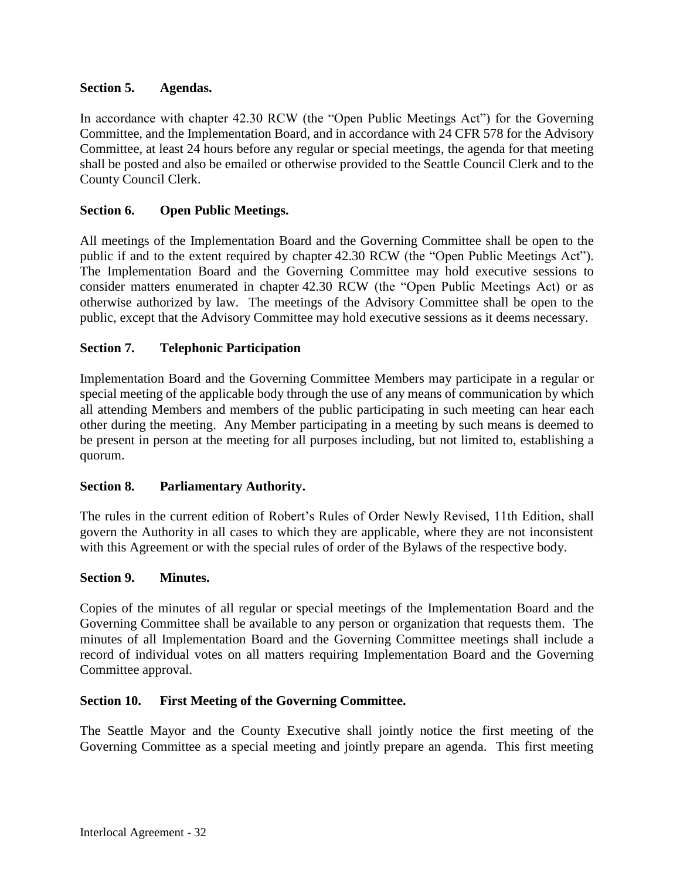# **Section 5. Agendas.**

In accordance with chapter 42.30 RCW (the "Open Public Meetings Act") for the Governing Committee, and the Implementation Board, and in accordance with 24 CFR 578 for the Advisory Committee, at least 24 hours before any regular or special meetings, the agenda for that meeting shall be posted and also be emailed or otherwise provided to the Seattle Council Clerk and to the County Council Clerk.

### **Section 6. Open Public Meetings.**

All meetings of the Implementation Board and the Governing Committee shall be open to the public if and to the extent required by chapter 42.30 RCW (the "Open Public Meetings Act"). The Implementation Board and the Governing Committee may hold executive sessions to consider matters enumerated in chapter 42.30 RCW (the "Open Public Meetings Act) or as otherwise authorized by law. The meetings of the Advisory Committee shall be open to the public, except that the Advisory Committee may hold executive sessions as it deems necessary.

### **Section 7. Telephonic Participation**

Implementation Board and the Governing Committee Members may participate in a regular or special meeting of the applicable body through the use of any means of communication by which all attending Members and members of the public participating in such meeting can hear each other during the meeting. Any Member participating in a meeting by such means is deemed to be present in person at the meeting for all purposes including, but not limited to, establishing a quorum.

#### **Section 8. Parliamentary Authority.**

The rules in the current edition of Robert's Rules of Order Newly Revised, 11th Edition, shall govern the Authority in all cases to which they are applicable, where they are not inconsistent with this Agreement or with the special rules of order of the Bylaws of the respective body.

#### **Section 9. Minutes.**

Copies of the minutes of all regular or special meetings of the Implementation Board and the Governing Committee shall be available to any person or organization that requests them. The minutes of all Implementation Board and the Governing Committee meetings shall include a record of individual votes on all matters requiring Implementation Board and the Governing Committee approval.

#### **Section 10. First Meeting of the Governing Committee.**

The Seattle Mayor and the County Executive shall jointly notice the first meeting of the Governing Committee as a special meeting and jointly prepare an agenda. This first meeting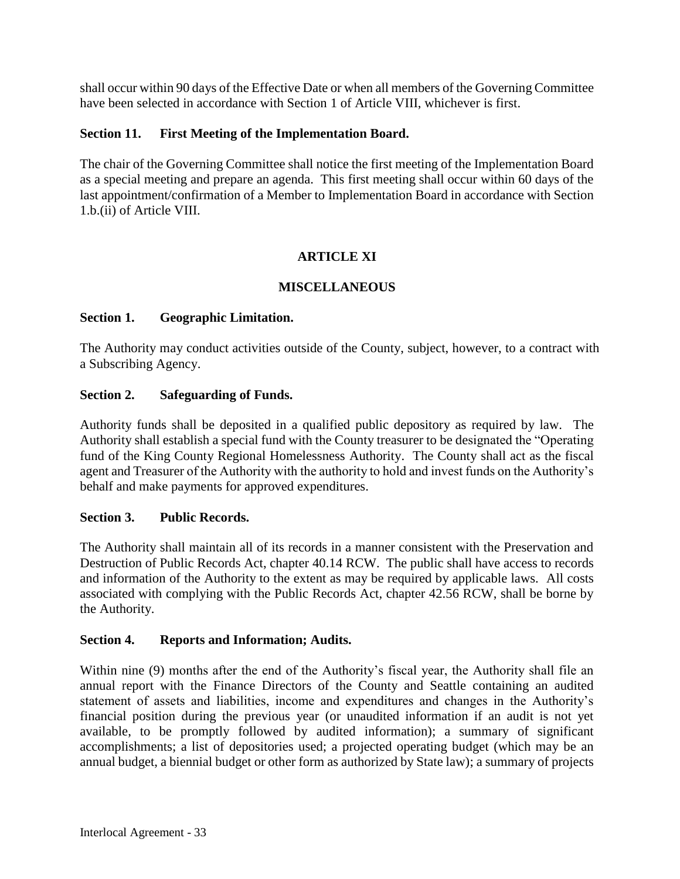shall occur within 90 days of the Effective Date or when all members of the Governing Committee have been selected in accordance with Section 1 of Article VIII, whichever is first.

# **Section 11. First Meeting of the Implementation Board.**

The chair of the Governing Committee shall notice the first meeting of the Implementation Board as a special meeting and prepare an agenda. This first meeting shall occur within 60 days of the last appointment/confirmation of a Member to Implementation Board in accordance with Section 1.b.(ii) of Article VIII.

# **ARTICLE XI**

# **MISCELLANEOUS**

# **Section 1. Geographic Limitation.**

The Authority may conduct activities outside of the County, subject, however, to a contract with a Subscribing Agency.

# **Section 2. Safeguarding of Funds.**

Authority funds shall be deposited in a qualified public depository as required by law. The Authority shall establish a special fund with the County treasurer to be designated the "Operating fund of the King County Regional Homelessness Authority. The County shall act as the fiscal agent and Treasurer of the Authority with the authority to hold and invest funds on the Authority's behalf and make payments for approved expenditures.

# **Section 3. Public Records.**

The Authority shall maintain all of its records in a manner consistent with the Preservation and Destruction of Public Records Act, chapter 40.14 RCW. The public shall have access to records and information of the Authority to the extent as may be required by applicable laws. All costs associated with complying with the Public Records Act, chapter 42.56 RCW, shall be borne by the Authority.

# **Section 4. Reports and Information; Audits.**

Within nine (9) months after the end of the Authority's fiscal year, the Authority shall file an annual report with the Finance Directors of the County and Seattle containing an audited statement of assets and liabilities, income and expenditures and changes in the Authority's financial position during the previous year (or unaudited information if an audit is not yet available, to be promptly followed by audited information); a summary of significant accomplishments; a list of depositories used; a projected operating budget (which may be an annual budget, a biennial budget or other form as authorized by State law); a summary of projects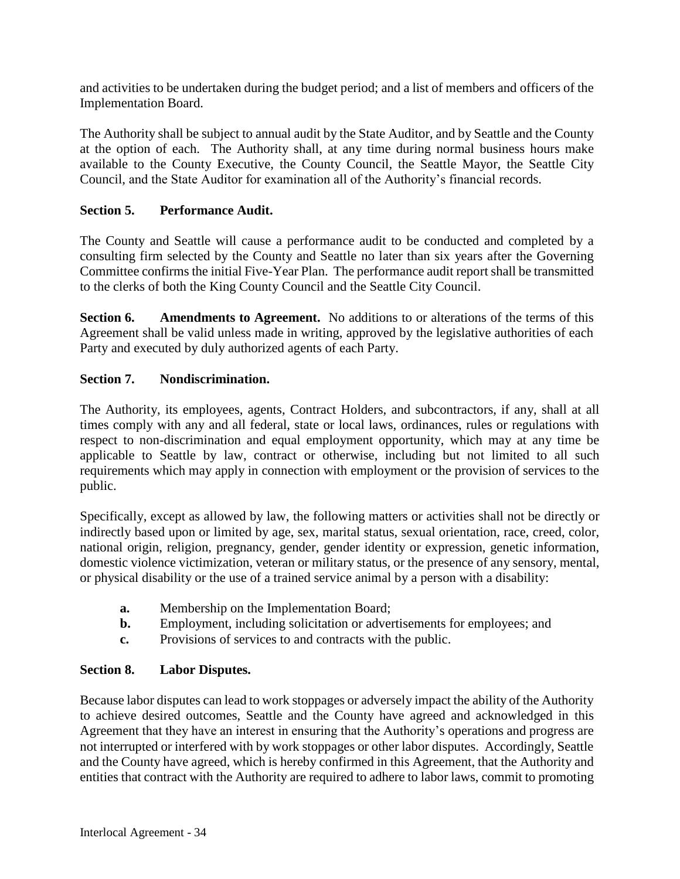and activities to be undertaken during the budget period; and a list of members and officers of the Implementation Board.

The Authority shall be subject to annual audit by the State Auditor, and by Seattle and the County at the option of each. The Authority shall, at any time during normal business hours make available to the County Executive, the County Council, the Seattle Mayor, the Seattle City Council, and the State Auditor for examination all of the Authority's financial records.

# **Section 5. Performance Audit.**

The County and Seattle will cause a performance audit to be conducted and completed by a consulting firm selected by the County and Seattle no later than six years after the Governing Committee confirms the initial Five-Year Plan. The performance audit report shall be transmitted to the clerks of both the King County Council and the Seattle City Council.

**Section 6.** Amendments to Agreement. No additions to or alterations of the terms of this Agreement shall be valid unless made in writing, approved by the legislative authorities of each Party and executed by duly authorized agents of each Party.

# **Section 7. Nondiscrimination.**

The Authority, its employees, agents, Contract Holders, and subcontractors, if any, shall at all times comply with any and all federal, state or local laws, ordinances, rules or regulations with respect to non-discrimination and equal employment opportunity, which may at any time be applicable to Seattle by law, contract or otherwise, including but not limited to all such requirements which may apply in connection with employment or the provision of services to the public.

Specifically, except as allowed by law, the following matters or activities shall not be directly or indirectly based upon or limited by age, sex, marital status, sexual orientation, race, creed, color, national origin, religion, pregnancy, gender, gender identity or expression, genetic information, domestic violence victimization, veteran or military status, or the presence of any sensory, mental, or physical disability or the use of a trained service animal by a person with a disability:

- **a.** Membership on the Implementation Board;
- **b.** Employment, including solicitation or advertisements for employees; and
- **c.** Provisions of services to and contracts with the public.

# **Section 8. Labor Disputes.**

Because labor disputes can lead to work stoppages or adversely impact the ability of the Authority to achieve desired outcomes, Seattle and the County have agreed and acknowledged in this Agreement that they have an interest in ensuring that the Authority's operations and progress are not interrupted or interfered with by work stoppages or other labor disputes. Accordingly, Seattle and the County have agreed, which is hereby confirmed in this Agreement, that the Authority and entities that contract with the Authority are required to adhere to labor laws, commit to promoting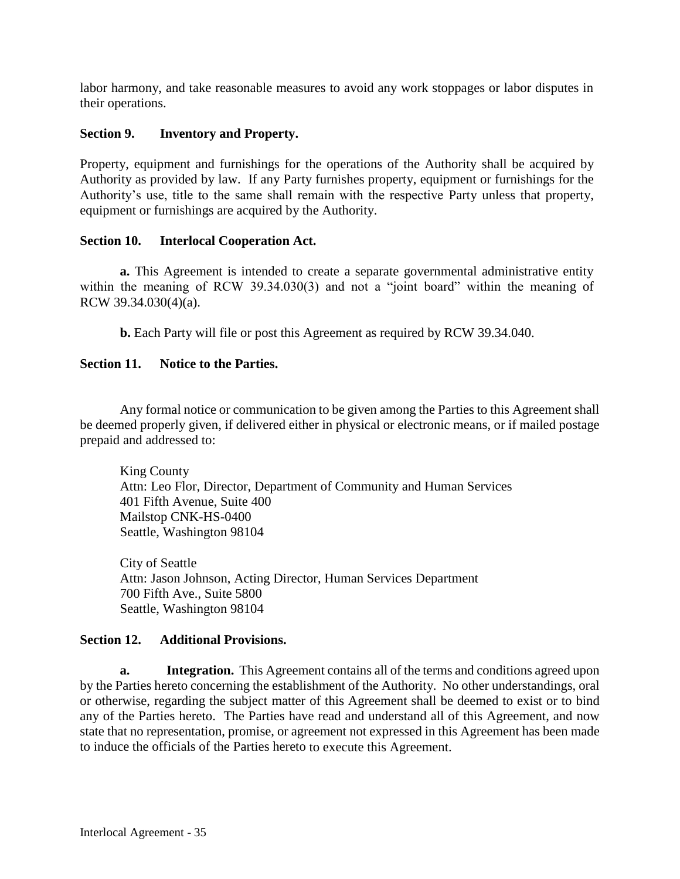labor harmony, and take reasonable measures to avoid any work stoppages or labor disputes in their operations.

### **Section 9. Inventory and Property.**

Property, equipment and furnishings for the operations of the Authority shall be acquired by Authority as provided by law. If any Party furnishes property, equipment or furnishings for the Authority's use, title to the same shall remain with the respective Party unless that property, equipment or furnishings are acquired by the Authority.

### **Section 10. Interlocal Cooperation Act.**

**a.** This Agreement is intended to create a separate governmental administrative entity within the meaning of RCW 39.34.030(3) and not a "joint board" within the meaning of RCW 39.34.030(4)(a).

**b.** Each Party will file or post this Agreement as required by RCW 39.34.040.

### **Section 11. Notice to the Parties.**

Any formal notice or communication to be given among the Parties to this Agreement shall be deemed properly given, if delivered either in physical or electronic means, or if mailed postage prepaid and addressed to:

King County Attn: Leo Flor, Director, Department of Community and Human Services 401 Fifth Avenue, Suite 400 Mailstop CNK-HS-0400 Seattle, Washington 98104

City of Seattle Attn: Jason Johnson, Acting Director, Human Services Department 700 Fifth Ave., Suite 5800 Seattle, Washington 98104

#### **Section 12. Additional Provisions.**

**a. Integration.** This Agreement contains all of the terms and conditions agreed upon by the Parties hereto concerning the establishment of the Authority. No other understandings, oral or otherwise, regarding the subject matter of this Agreement shall be deemed to exist or to bind any of the Parties hereto. The Parties have read and understand all of this Agreement, and now state that no representation, promise, or agreement not expressed in this Agreement has been made to induce the officials of the Parties hereto to execute this Agreement.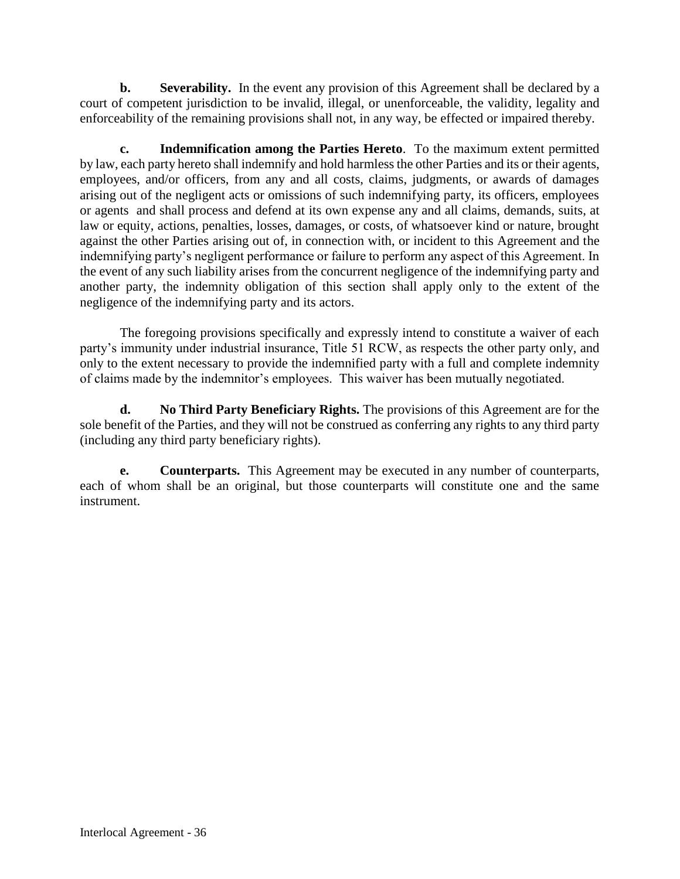**b. Severability.** In the event any provision of this Agreement shall be declared by a court of competent jurisdiction to be invalid, illegal, or unenforceable, the validity, legality and enforceability of the remaining provisions shall not, in any way, be effected or impaired thereby.

**c. Indemnification among the Parties Hereto**. To the maximum extent permitted by law, each party hereto shall indemnify and hold harmless the other Parties and its or their agents, employees, and/or officers, from any and all costs, claims, judgments, or awards of damages arising out of the negligent acts or omissions of such indemnifying party, its officers, employees or agents and shall process and defend at its own expense any and all claims, demands, suits, at law or equity, actions, penalties, losses, damages, or costs, of whatsoever kind or nature, brought against the other Parties arising out of, in connection with, or incident to this Agreement and the indemnifying party's negligent performance or failure to perform any aspect of this Agreement. In the event of any such liability arises from the concurrent negligence of the indemnifying party and another party, the indemnity obligation of this section shall apply only to the extent of the negligence of the indemnifying party and its actors.

The foregoing provisions specifically and expressly intend to constitute a waiver of each party's immunity under industrial insurance, Title 51 RCW, as respects the other party only, and only to the extent necessary to provide the indemnified party with a full and complete indemnity of claims made by the indemnitor's employees. This waiver has been mutually negotiated.

**d. No Third Party Beneficiary Rights.** The provisions of this Agreement are for the sole benefit of the Parties, and they will not be construed as conferring any rights to any third party (including any third party beneficiary rights).

**e. Counterparts.** This Agreement may be executed in any number of counterparts, each of whom shall be an original, but those counterparts will constitute one and the same instrument.